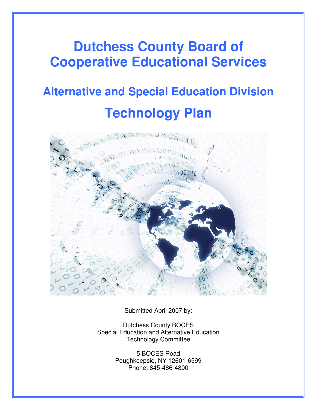# **Dutchess County Board of Cooperative Educational Services**

# **Alternative and Special Education Division Technology Plan**



Submitted April 2007 by:

Dutchess County BOCES Special Education and Alternative Education Technology Committee

> 5 BOCES Road Poughkeepsie, NY 12601-6599 Phone: 845-486-4800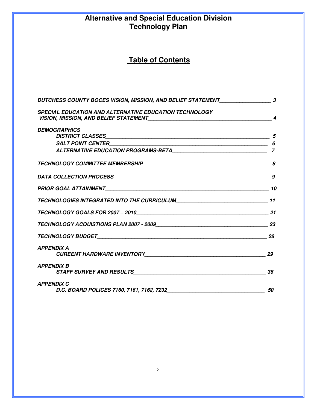# **Alternative and Special Education Division Technology Plan**

# **Table of Contents**

| DUTCHESS COUNTY BOCES VISION, MISSION, AND BELIEF STATEMENT_____________________3               |                          |
|-------------------------------------------------------------------------------------------------|--------------------------|
| <b>SPECIAL EDUCATION AND ALTERNATIVE EDUCATION TECHNOLOGY</b>                                   | $\boldsymbol{\varDelta}$ |
| <b>DEMOGRAPHICS</b>                                                                             |                          |
|                                                                                                 |                          |
|                                                                                                 |                          |
|                                                                                                 |                          |
|                                                                                                 | 9                        |
|                                                                                                 |                          |
|                                                                                                 |                          |
|                                                                                                 |                          |
|                                                                                                 |                          |
|                                                                                                 |                          |
| <b>APPENDIX A</b>                                                                               |                          |
| <b>APPENDIX B</b>                                                                               |                          |
| <b>APPENDIX C</b><br>D.C. BOARD POLICES 7160, 7161, 7162, 7232 <b>CONVERTENT CONTROLS 50</b> 50 |                          |
|                                                                                                 |                          |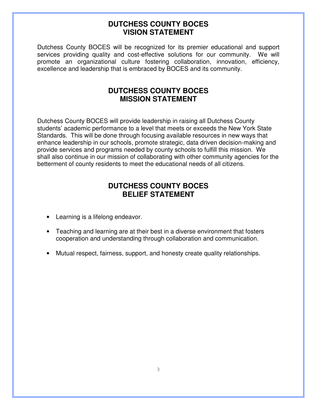### **DUTCHESS COUNTY BOCES VISION STATEMENT**

Dutchess County BOCES will be recognized for its premier educational and support services providing quality and cost-effective solutions for our community. We will promote an organizational culture fostering collaboration, innovation, efficiency, excellence and leadership that is embraced by BOCES and its community.

# **DUTCHESS COUNTY BOCES MISSION STATEMENT**

Dutchess County BOCES will provide leadership in raising all Dutchess County students' academic performance to a level that meets or exceeds the New York State Standards. This will be done through focusing available resources in new ways that enhance leadership in our schools, promote strategic, data driven decision-making and provide services and programs needed by county schools to fulfill this mission. We shall also continue in our mission of collaborating with other community agencies for the betterment of county residents to meet the educational needs of all citizens.

# **DUTCHESS COUNTY BOCES BELIEF STATEMENT**

- Learning is a lifelong endeavor.
- Teaching and learning are at their best in a diverse environment that fosters cooperation and understanding through collaboration and communication.
- Mutual respect, fairness, support, and honesty create quality relationships.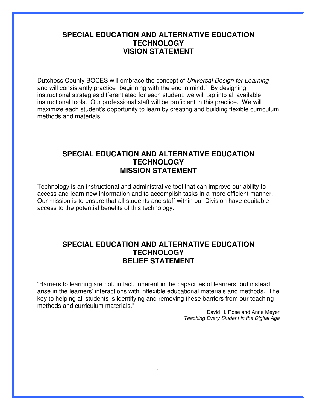# **SPECIAL EDUCATION AND ALTERNATIVE EDUCATION TECHNOLOGY VISION STATEMENT**

Dutchess County BOCES will embrace the concept of Universal Design for Learning and will consistently practice "beginning with the end in mind." By designing instructional strategies differentiated for each student, we will tap into all available instructional tools. Our professional staff will be proficient in this practice. We will maximize each student's opportunity to learn by creating and building flexible curriculum methods and materials.

# **SPECIAL EDUCATION AND ALTERNATIVE EDUCATION TECHNOLOGY MISSION STATEMENT**

Technology is an instructional and administrative tool that can improve our ability to access and learn new information and to accomplish tasks in a more efficient manner. Our mission is to ensure that all students and staff within our Division have equitable access to the potential benefits of this technology.

### **SPECIAL EDUCATION AND ALTERNATIVE EDUCATION TECHNOLOGY BELIEF STATEMENT**

"Barriers to learning are not, in fact, inherent in the capacities of learners, but instead arise in the learners' interactions with inflexible educational materials and methods. The key to helping all students is identifying and removing these barriers from our teaching methods and curriculum materials."

> David H. Rose and Anne Meyer Teaching Every Student in the Digital Age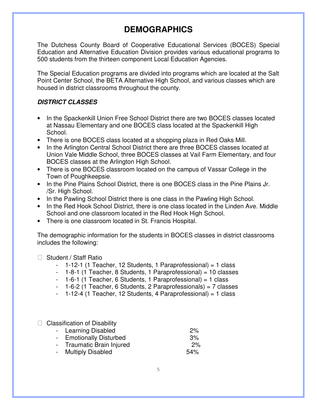# **DEMOGRAPHICS**

The Dutchess County Board of Cooperative Educational Services (BOCES) Special Education and Alternative Education Division provides various educational programs to 500 students from the thirteen component Local Education Agencies.

The Special Education programs are divided into programs which are located at the Salt Point Center School, the BETA Alternative High School, and various classes which are housed in district classrooms throughout the county.

### **DISTRICT CLASSES**

- In the Spackenkill Union Free School District there are two BOCES classes located at Nassau Elementary and one BOCES class located at the Spackenkill High School.
- There is one BOCES class located at a shopping plaza in Red Oaks Mill.
- In the Arlington Central School District there are three BOCES classes located at Union Vale Middle School, three BOCES classes at Vail Farm Elementary, and four BOCES classes at the Arlington High School.
- There is one BOCES classroom located on the campus of Vassar College in the Town of Poughkeepsie.
- In the Pine Plains School District, there is one BOCES class in the Pine Plains Jr. /Sr. High School.
- In the Pawling School District there is one class in the Pawling High School.
- In the Red Hook School District, there is one class located in the Linden Ave. Middle School and one classroom located in the Red Hook High School.
- There is one classroom located in St. Francis Hospital.

The demographic information for the students in BOCES classes in district classrooms includes the following:

### Student / Staff Ratio

- 1-12-1 (1 Teacher, 12 Students, 1 Paraprofessional) = 1 class
- 1-8-1 (1 Teacher, 8 Students, 1 Paraprofessional) = 10 classes
- 1-6-1 (1 Teacher, 6 Students, 1 Paraprofessional) = 1 class
- 1-6-2 (1 Teacher, 6 Students, 2 Paraprofessionals) = 7 classes
- 1-12-4 (1 Teacher, 12 Students, 4 Paraprofessional) = 1 class

Classification of Disability

| - Learning Disabled       | 2%  |
|---------------------------|-----|
| - Emotionally Disturbed   | 3%  |
| - Traumatic Brain Injured | 2%  |
| - Multiply Disabled       | 54% |
|                           |     |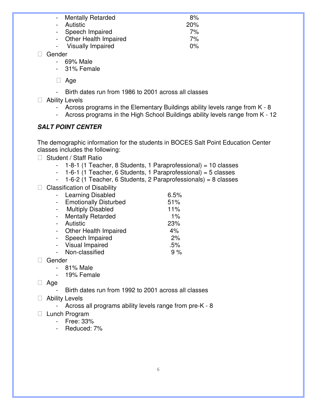| - Mentally Retarded      | 8%    |
|--------------------------|-------|
| - Autistic               | 20%   |
| - Speech Impaired        | 7%    |
| Other Health Impaired    | 7%    |
| <b>Visually Impaired</b> | $0\%$ |

Gender

- 69% Male
- 31% Female

Age

- Birth dates run from 1986 to 2001 across all classes

Ability Levels

- Across programs in the Elementary Buildings ability levels range from K 8
- Across programs in the High School Buildings ability levels range from K 12

### **SALT POINT CENTER**

The demographic information for the students in BOCES Salt Point Education Center classes includes the following:

Student / Staff Ratio

- 1-8-1 (1 Teacher, 8 Students, 1 Paraprofessional) = 10 classes
- 1-6-1 (1 Teacher, 6 Students, 1 Paraprofessional) = 5 classes

- 1-6-2 (1 Teacher, 6 Students, 2 Paraprofessionals) = 8 classes

### Classification of Disability

| Learning Disabled            | 6.5% |
|------------------------------|------|
| <b>Emotionally Disturbed</b> | 51%  |
| <b>Multiply Disabled</b>     | 11%  |
| <b>Mentally Retarded</b>     | 1%   |
| Autistic                     | 23%  |
| <b>Other Health Impaired</b> | 4%   |
| Speech Impaired              | 2%   |
| Visual Impaired              | .5%  |
| Non-classified               | 9%   |
|                              |      |

Gender

- 81% Male

- 19% Female

### Age

Birth dates run from 1992 to 2001 across all classes

### Ability Levels

- Across all programs ability levels range from pre-K - 8

### Lunch Program

- Free: 33%
- Reduced: 7%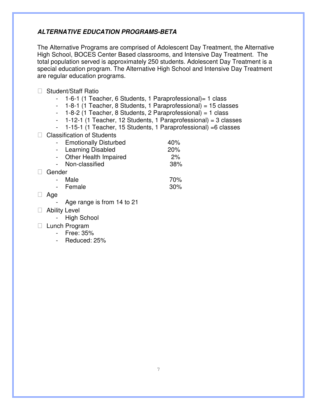### **ALTERNATIVE EDUCATION PROGRAMS-BETA**

The Alternative Programs are comprised of Adolescent Day Treatment, the Alternative High School, BOCES Center Based classrooms, and Intensive Day Treatment. The total population served is approximately 250 students. Adolescent Day Treatment is a special education program. The Alternative High School and Intensive Day Treatment are regular education programs.

Student/Staff Ratio

|  |  |  |  | 1-6-1 (1 Teacher, 6 Students, 1 Paraprofessional) = 1 class |  |
|--|--|--|--|-------------------------------------------------------------|--|
|--|--|--|--|-------------------------------------------------------------|--|

- 1-8-1 (1 Teacher, 8 Students, 1 Paraprofessional) = 15 classes

- 1-8-2 (1 Teacher, 8 Students, 2 Paraprofessional) = 1 class

 $-$  1-12-1 (1 Teacher, 12 Students, 1 Paraprofessional) = 3 classes

- 1-15-1 (1 Teacher, 15 Students, 1 Paraprofessional) =6 classes

Classification of Students

|        | - Emotionally Disturbed | 40% |
|--------|-------------------------|-----|
|        | - Learning Disabled     | 20% |
|        | - Other Health Impaired | 2%  |
|        | - Non-classified        | 38% |
| Gender |                         |     |
|        | Male                    | 70% |
|        | - Female                | 30% |
|        |                         |     |

Age

Age range is from 14 to 21

Ability Level

- High School

Lunch Program

- Free: 35%

- Reduced: 25%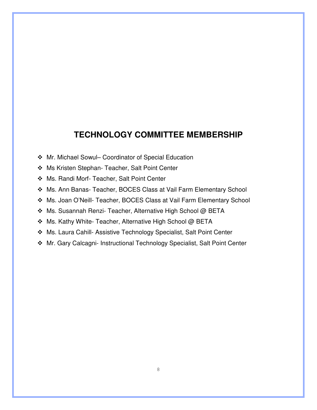# **TECHNOLOGY COMMITTEE MEMBERSHIP**

- Mr. Michael Sowul– Coordinator of Special Education
- Ms Kristen Stephan- Teacher, Salt Point Center
- Ms. Randi Morf- Teacher, Salt Point Center
- Ms. Ann Banas- Teacher, BOCES Class at Vail Farm Elementary School
- Ms. Joan O'Neill- Teacher, BOCES Class at Vail Farm Elementary School
- ◆ Ms. Susannah Renzi- Teacher, Alternative High School @ BETA
- ◆ Ms. Kathy White- Teacher, Alternative High School @ BETA
- Ms. Laura Cahill- Assistive Technology Specialist, Salt Point Center
- Mr. Gary Calcagni- Instructional Technology Specialist, Salt Point Center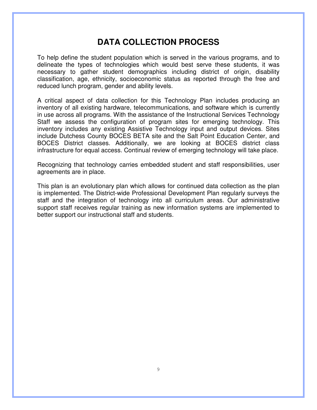# **DATA COLLECTION PROCESS**

To help define the student population which is served in the various programs, and to delineate the types of technologies which would best serve these students, it was necessary to gather student demographics including district of origin, disability classification, age, ethnicity, socioeconomic status as reported through the free and reduced lunch program, gender and ability levels.

A critical aspect of data collection for this Technology Plan includes producing an inventory of all existing hardware, telecommunications, and software which is currently in use across all programs. With the assistance of the Instructional Services Technology Staff we assess the configuration of program sites for emerging technology. This inventory includes any existing Assistive Technology input and output devices. Sites include Dutchess County BOCES BETA site and the Salt Point Education Center, and BOCES District classes. Additionally, we are looking at BOCES district class infrastructure for equal access. Continual review of emerging technology will take place.

Recognizing that technology carries embedded student and staff responsibilities, user agreements are in place.

This plan is an evolutionary plan which allows for continued data collection as the plan is implemented. The District-wide Professional Development Plan regularly surveys the staff and the integration of technology into all curriculum areas. Our administrative support staff receives regular training as new information systems are implemented to better support our instructional staff and students.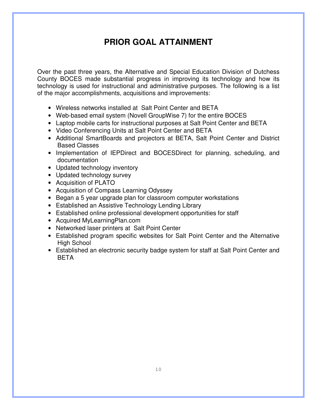# **PRIOR GOAL ATTAINMENT**

Over the past three years, the Alternative and Special Education Division of Dutchess County BOCES made substantial progress in improving its technology and how its technology is used for instructional and administrative purposes. The following is a list of the major accomplishments, acquisitions and improvements:

- Wireless networks installed at Salt Point Center and BETA
- Web-based email system (Novell GroupWise 7) for the entire BOCES
- Laptop mobile carts for instructional purposes at Salt Point Center and BETA
- Video Conferencing Units at Salt Point Center and BETA
- Additional SmartBoards and projectors at BETA, Salt Point Center and District Based Classes
- Implementation of IEPDirect and BOCESDirect for planning, scheduling, and documentation
- Updated technology inventory
- Updated technology survey
- Acquisition of PLATO
- Acquisition of Compass Learning Odyssey
- Began a 5 year upgrade plan for classroom computer workstations
- Established an Assistive Technology Lending Library
- Established online professional development opportunities for staff
- Acquired MyLearningPlan.com
- Networked laser printers at Salt Point Center
- Established program specific websites for Salt Point Center and the Alternative High School
- Established an electronic security badge system for staff at Salt Point Center and **BETA**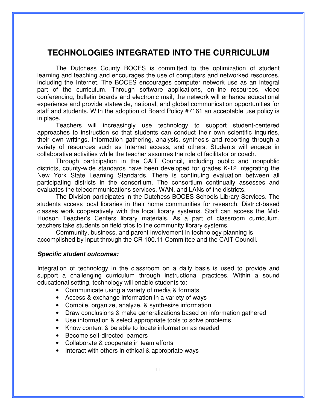# **TECHNOLOGIES INTEGRATED INTO THE CURRICULUM**

 The Dutchess County BOCES is committed to the optimization of student learning and teaching and encourages the use of computers and networked resources, including the Internet. The BOCES encourages computer network use as an integral part of the curriculum. Through software applications, on-line resources, video conferencing, bulletin boards and electronic mail, the network will enhance educational experience and provide statewide, national, and global communication opportunities for staff and students. With the adoption of Board Policy #7161 an acceptable use policy is in place.

 Teachers will increasingly use technology to support student-centered approaches to instruction so that students can conduct their own scientific inquiries, their own writings, information gathering, analysis, synthesis and reporting through a variety of resources such as Internet access, and others. Students will engage in collaborative activities while the teacher assumes the role of facilitator or coach.

 Through participation in the CAIT Council, including public and nonpublic districts, county-wide standards have been developed for grades K-12 integrating the New York State Learning Standards. There is continuing evaluation between all participating districts in the consortium. The consortium continually assesses and evaluates the telecommunications services, WAN, and LANs of the districts.

 The Division participates in the Dutchess BOCES Schools Library Services. The students access local libraries in their home communities for research. District-based classes work cooperatively with the local library systems. Staff can access the Mid-Hudson Teacher's Centers library materials. As a part of classroom curriculum, teachers take students on field trips to the community library systems.

 Community, business, and parent involvement in technology planning is accomplished by input through the CR 100.11 Committee and the CAIT Council.

### **Specific student outcomes:**

Integration of technology in the classroom on a daily basis is used to provide and support a challenging curriculum through instructional practices. Within a sound educational setting, technology will enable students to:

- Communicate using a variety of media & formats
- Access & exchange information in a variety of ways
- Compile, organize, analyze, & synthesize information
- Draw conclusions & make generalizations based on information gathered
- Use information & select appropriate tools to solve problems
- Know content & be able to locate information as needed
- Become self-directed learners
- Collaborate & cooperate in team efforts
- Interact with others in ethical & appropriate ways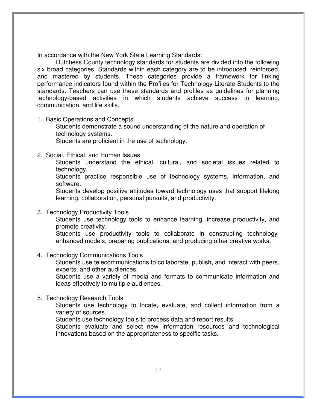In accordance with the New York State Learning Standards:

Dutchess County technology standards for students are divided into the following six broad categories. Standards within each category are to be introduced, reinforced, and mastered by students. These categories provide a framework for linking performance indicators found within the Profiles for Technology Literate Students to the standards. Teachers can use these standards and profiles as guidelines for planning technology-based activities in which students achieve success in learning, communication, and life skills.

1. Basic Operations and Concepts

Students demonstrate a sound understanding of the nature and operation of technology systems.

Students are proficient in the use of technology.

2. Social, Ethical, and Human Issues

Students understand the ethical, cultural, and societal issues related to technology.

Students practice responsible use of technology systems, information, and software.

Students develop positive attitudes toward technology uses that support lifelong learning, collaboration, personal pursuits, and productivity.

3. Technology Productivity Tools

Students use technology tools to enhance learning, increase productivity, and promote creativity.

Students use productivity tools to collaborate in constructing technologyenhanced models, preparing publications, and producing other creative works.

4. Technology Communications Tools

Students use telecommunications to collaborate, publish, and interact with peers, experts, and other audiences.

Students use a variety of media and formats to communicate information and ideas effectively to multiple audiences.

5. Technology Research Tools

Students use technology to locate, evaluate, and collect information from a variety of sources.

Students use technology tools to process data and report results.

Students evaluate and select new information resources and technological innovations based on the appropriateness to specific tasks.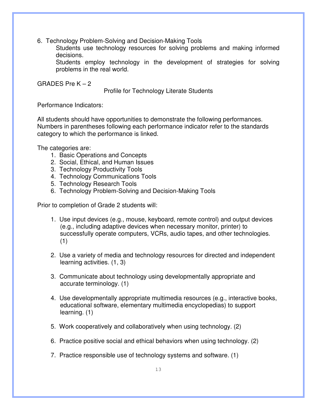6. Technology Problem-Solving and Decision-Making Tools

Students use technology resources for solving problems and making informed decisions.

Students employ technology in the development of strategies for solving problems in the real world.

GRADES Pre  $K - 2$ 

Profile for Technology Literate Students

Performance Indicators:

All students should have opportunities to demonstrate the following performances. Numbers in parentheses following each performance indicator refer to the standards category to which the performance is linked.

The categories are:

- 1. Basic Operations and Concepts
- 2. Social, Ethical, and Human Issues
- 3. Technology Productivity Tools
- 4. Technology Communications Tools
- 5. Technology Research Tools
- 6. Technology Problem-Solving and Decision-Making Tools

Prior to completion of Grade 2 students will:

- 1. Use input devices (e.g., mouse, keyboard, remote control) and output devices (e.g., including adaptive devices when necessary monitor, printer) to successfully operate computers, VCRs, audio tapes, and other technologies. (1)
- 2. Use a variety of media and technology resources for directed and independent learning activities. (1, 3)
- 3. Communicate about technology using developmentally appropriate and accurate terminology. (1)
- 4. Use developmentally appropriate multimedia resources (e.g., interactive books, educational software, elementary multimedia encyclopedias) to support learning. (1)
- 5. Work cooperatively and collaboratively when using technology. (2)
- 6. Practice positive social and ethical behaviors when using technology. (2)
- 7. Practice responsible use of technology systems and software. (1)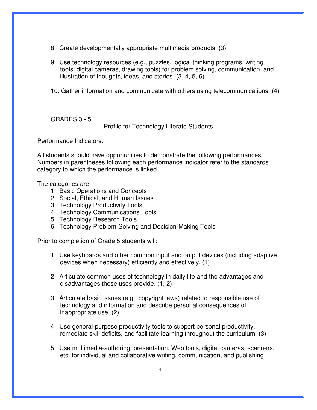- 8. Create developmentally appropriate multimedia products. (3)
- 9. Use technology resources (e.g., puzzles, logical thinking programs, writing tools, digital cameras, drawing tools) for problem solving, communication, and illustration of thoughts, ideas, and stories. (3, 4, 5, 6)
- 10. Gather information and communicate with others using telecommunications. (4)

GRADES 3 - 5

Profile for Technology Literate Students

Performance Indicators:

All students should have opportunities to demonstrate the following performances. Numbers in parentheses following each performance indicator refer to the standards category to which the performance is linked.

The categories are:

- 1. Basic Operations and Concepts
- 2. Social, Ethical, and Human Issues
- 3. Technology Productivity Tools
- 4. Technology Communications Tools
- 5. Technology Research Tools
- 6. Technology Problem-Solving and Decision-Making Tools

Prior to completion of Grade 5 students will:

- 1. Use keyboards and other common input and output devices (including adaptive devices when necessary) efficiently and effectively. (1)
- 2. Articulate common uses of technology in daily life and the advantages and disadvantages those uses provide. (1, 2)
- 3. Articulate basic issues (e.g., copyright laws) related to responsible use of technology and information and describe personal consequences of inappropriate use. (2)
- 4. Use general-purpose productivity tools to support personal productivity, remediate skill deficits, and facilitate learning throughout the curriculum. (3)
- 5. Use multimedia-authoring, presentation, Web tools, digital cameras, scanners, etc. for individual and collaborative writing, communication, and publishing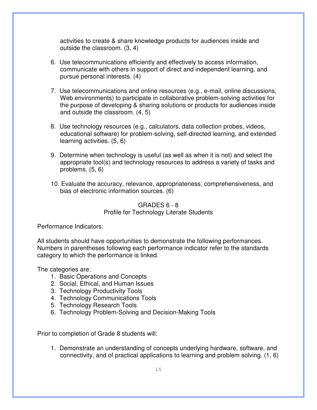activities to create & share knowledge products for audiences inside and outside the classroom. (3, 4)

- 6. Use telecommunications efficiently and effectively to access information, communicate with others in support of direct and independent learning, and pursue personal interests. (4)
- 7. Use telecommunications and online resources (e.g., e-mail, online discussions, Web environments) to participate in collaborative problem-solving activities for the purpose of developing & sharing solutions or products for audiences inside and outside the classroom. (4, 5)
- 8. Use technology resources (e.g., calculators, data collection probes, videos, educational software) for problem-solving, self-directed learning, and extended learning activities. (5, 6)
- 9. Determine when technology is useful (as well as when it is not) and select the appropriate tool(s) and technology resources to address a variety of tasks and problems. (5, 6)
- 10. Evaluate the accuracy, relevance, appropriateness, comprehensiveness, and bias of electronic information sources. (6)

### GRADES 6 - 8 Profile for Technology Literate Students

Performance Indicators:

All students should have opportunities to demonstrate the following performances. Numbers in parentheses following each performance indicator refer to the standards category to which the performance is linked.

The categories are:

- 1. Basic Operations and Concepts
- 2. Social, Ethical, and Human Issues
- 3. Technology Productivity Tools
- 4. Technology Communications Tools
- 5. Technology Research Tools
- 6. Technology Problem-Solving and Decision-Making Tools

Prior to completion of Grade 8 students will:

1. Demonstrate an understanding of concepts underlying hardware, software, and connectivity, and of practical applications to learning and problem solving. (1, 6)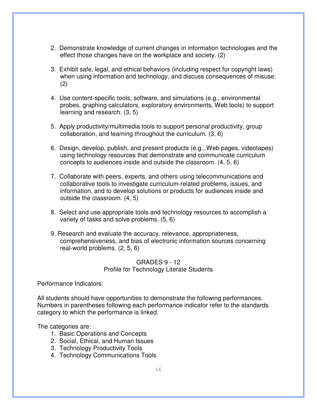- 2. Demonstrate knowledge of current changes in information technologies and the effect those changes have on the workplace and society. (2)
- 3. Exhibit safe, legal, and ethical behaviors (including respect for copyright laws) when using information and technology, and discuss consequences of misuse. (2)
- 4. Use content-specific tools, software, and simulations (e.g., environmental probes, graphing calculators, exploratory environments, Web tools) to support learning and research. (3, 5)
- 5. Apply productivity/multimedia tools to support personal productivity, group collaboration, and learning throughout the curriculum. (3, 6)
- 6. Design, develop, publish, and present products (e.g., Web pages, videotapes) using technology resources that demonstrate and communicate curriculum concepts to audiences inside and outside the classroom. (4, 5, 6)
- 7. Collaborate with peers, experts, and others using telecommunications and collaborative tools to investigate curriculum-related problems, issues, and information, and to develop solutions or products for audiences inside and outside the classroom. (4, 5)
- 8. Select and use appropriate tools and technology resources to accomplish a variety of tasks and solve problems. (5, 6)
- 9. Research and evaluate the accuracy, relevance, appropriateness, comprehensiveness, and bias of electronic information sources concerning real-world problems. (2, 5, 6)

### GRADES 9 - 12 Profile for Technology Literate Students

Performance Indicators:

All students should have opportunities to demonstrate the following performances. Numbers in parentheses following each performance indicator refer to the standards category to which the performance is linked.

The categories are:

- 1. Basic Operations and Concepts
- 2. Social, Ethical, and Human Issues
- 3. Technology Productivity Tools
- 4. Technology Communications Tools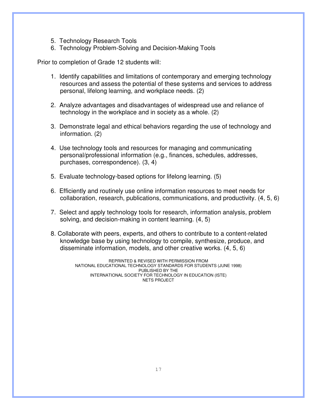- 5. Technology Research Tools
- 6. Technology Problem-Solving and Decision-Making Tools

Prior to completion of Grade 12 students will:

- 1. Identify capabilities and limitations of contemporary and emerging technology resources and assess the potential of these systems and services to address personal, lifelong learning, and workplace needs. (2)
- 2. Analyze advantages and disadvantages of widespread use and reliance of technology in the workplace and in society as a whole. (2)
- 3. Demonstrate legal and ethical behaviors regarding the use of technology and information. (2)
- 4. Use technology tools and resources for managing and communicating personal/professional information (e.g., finances, schedules, addresses, purchases, correspondence). (3, 4)
- 5. Evaluate technology-based options for lifelong learning. (5)
- 6. Efficiently and routinely use online information resources to meet needs for collaboration, research, publications, communications, and productivity. (4, 5, 6)
- 7. Select and apply technology tools for research, information analysis, problem solving, and decision-making in content learning. (4, 5)
- 8. Collaborate with peers, experts, and others to contribute to a content-related knowledge base by using technology to compile, synthesize, produce, and disseminate information, models, and other creative works. (4, 5, 6)

REPRINTED & REVISED WITH PERMISSION FROM NATIONAL EDUCATIONAL TECHNOLOGY STANDARDS FOR STUDENTS (JUNE 1998) PUBLISHED BY THE INTERNATIONAL SOCIETY FOR TECHNOLOGY IN EDUCATION (ISTE) NETS PROJECT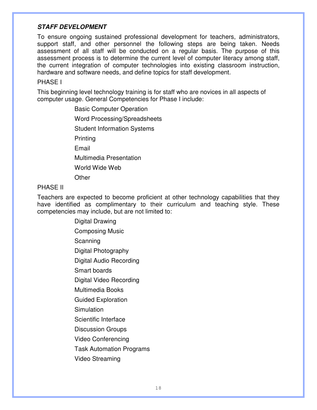### **STAFF DEVELOPMENT**

To ensure ongoing sustained professional development for teachers, administrators, support staff, and other personnel the following steps are being taken. Needs assessment of all staff will be conducted on a regular basis. The purpose of this assessment process is to determine the current level of computer literacy among staff, the current integration of computer technologies into existing classroom instruction, hardware and software needs, and define topics for staff development.

### PHASE I

This beginning level technology training is for staff who are novices in all aspects of computer usage. General Competencies for Phase I include:

> Basic Computer Operation Word Processing/Spreadsheets Student Information Systems **Printing** Email Multimedia Presentation World Wide Web **Other**

### PHASE II

Teachers are expected to become proficient at other technology capabilities that they have identified as complimentary to their curriculum and teaching style. These competencies may include, but are not limited to:

> Digital Drawing Composing Music **Scanning** Digital Photography Digital Audio Recording Smart boards Digital Video Recording Multimedia Books Guided Exploration **Simulation** Scientific Interface Discussion Groups Video Conferencing Task Automation Programs Video Streaming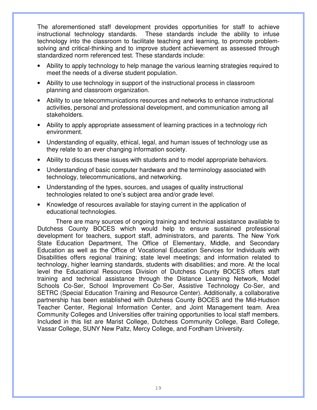The aforementioned staff development provides opportunities for staff to achieve instructional technology standards. These standards include the ability to infuse technology into the classroom to facilitate teaching and learning, to promote problemsolving and critical-thinking and to improve student achievement as assessed through standardized norm referenced test. These standards include:

- Ability to apply technology to help manage the various learning strategies required to meet the needs of a diverse student population.
- Ability to use technology in support of the instructional process in classroom planning and classroom organization.
- Ability to use telecommunications resources and networks to enhance instructional activities, personal and professional development, and communication among all stakeholders.
- Ability to apply appropriate assessment of learning practices in a technology rich environment.
- Understanding of equality, ethical, legal, and human issues of technology use as they relate to an ever changing information society.
- Ability to discuss these issues with students and to model appropriate behaviors.
- Understanding of basic computer hardware and the terminology associated with technology, telecommunications, and networking.
- Understanding of the types, sources, and usages of quality instructional technologies related to one's subject area and/or grade level.
- Knowledge of resources available for staying current in the application of educational technologies.

 There are many sources of ongoing training and technical assistance available to Dutchess County BOCES which would help to ensure sustained professional development for teachers, support staff, administrators, and parents. The New York State Education Department, The Office of Elementary, Middle, and Secondary Education as well as the Office of Vocational Education Services for Individuals with Disabilities offers regional training; state level meetings; and information related to technology, higher learning standards, students with disabilities; and more. At the local level the Educational Resources Division of Dutchess County BOCES offers staff training and technical assistance through the Distance Learning Network, Model Schools Co-Ser, School Improvement Co-Ser, Assistive Technology Co-Ser, and SETRC (Special Education Training and Resource Center). Additionally, a collaborative partnership has been established with Dutchess County BOCES and the Mid-Hudson Teacher Center, Regional Information Center, and Joint Management team. Area Community Colleges and Universities offer training opportunities to local staff members. Included in this list are Marist College, Dutchess Community College, Bard College, Vassar College, SUNY New Paltz, Mercy College, and Fordham University.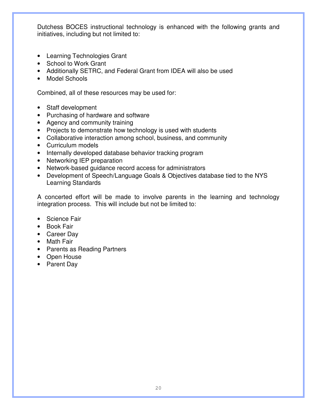Dutchess BOCES instructional technology is enhanced with the following grants and initiatives, including but not limited to:

- Learning Technologies Grant
- School to Work Grant
- Additionally SETRC, and Federal Grant from IDEA will also be used
- Model Schools

Combined, all of these resources may be used for:

- Staff development
- Purchasing of hardware and software
- Agency and community training
- Projects to demonstrate how technology is used with students
- Collaborative interaction among school, business, and community
- Curriculum models
- Internally developed database behavior tracking program
- Networking IEP preparation
- Network-based guidance record access for administrators
- Development of Speech/Language Goals & Objectives database tied to the NYS Learning Standards

A concerted effort will be made to involve parents in the learning and technology integration process. This will include but not be limited to:

- Science Fair
- Book Fair
- Career Day
- Math Fair
- Parents as Reading Partners
- Open House
- Parent Day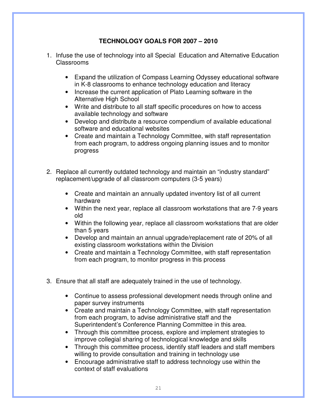### **TECHNOLOGY GOALS FOR 2007 – 2010**

- 1. Infuse the use of technology into all Special Education and Alternative Education Classrooms
	- Expand the utilization of Compass Learning Odyssey educational software in K-8 classrooms to enhance technology education and literacy
	- Increase the current application of Plato Learning software in the Alternative High School
	- Write and distribute to all staff specific procedures on how to access available technology and software
	- Develop and distribute a resource compendium of available educational software and educational websites
	- Create and maintain a Technology Committee, with staff representation from each program, to address ongoing planning issues and to monitor progress
- 2. Replace all currently outdated technology and maintain an "industry standard" replacement/upgrade of all classroom computers (3-5 years)
	- Create and maintain an annually updated inventory list of all current hardware
	- Within the next year, replace all classroom workstations that are 7-9 years old
	- Within the following year, replace all classroom workstations that are older than 5 years
	- Develop and maintain an annual upgrade/replacement rate of 20% of all existing classroom workstations within the Division
	- Create and maintain a Technology Committee, with staff representation from each program, to monitor progress in this process
- 3. Ensure that all staff are adequately trained in the use of technology.
	- Continue to assess professional development needs through online and paper survey instruments
	- Create and maintain a Technology Committee, with staff representation from each program, to advise administrative staff and the Superintendent's Conference Planning Committee in this area.
	- Through this committee process, explore and implement strategies to improve collegial sharing of technological knowledge and skills
	- Through this committee process, identify staff leaders and staff members willing to provide consultation and training in technology use
	- Encourage administrative staff to address technology use within the context of staff evaluations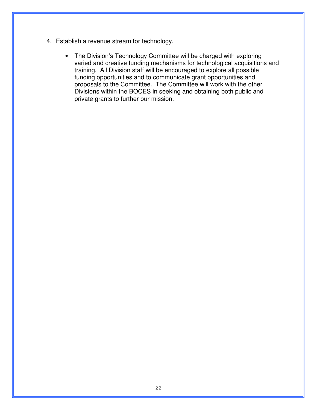- 4. Establish a revenue stream for technology.
	- The Division's Technology Committee will be charged with exploring varied and creative funding mechanisms for technological acquisitions and training. All Division staff will be encouraged to explore all possible funding opportunities and to communicate grant opportunities and proposals to the Committee. The Committee will work with the other Divisions within the BOCES in seeking and obtaining both public and private grants to further our mission.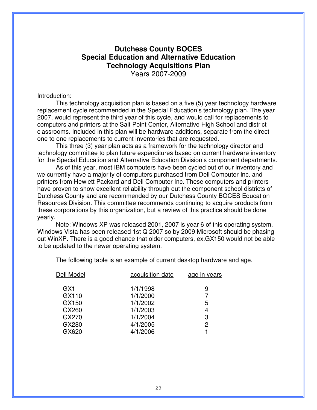### **Dutchess County BOCES Special Education and Alternative Education Technology Acquisitions Plan**  Years 2007-2009

#### Introduction:

This technology acquisition plan is based on a five (5) year technology hardware replacement cycle recommended in the Special Education's technology plan. The year 2007, would represent the third year of this cycle, and would call for replacements to computers and printers at the Salt Point Center, Alternative High School and district classrooms. Included in this plan will be hardware additions, separate from the direct one to one replacements to current inventories that are requested.

This three (3) year plan acts as a framework for the technology director and technology committee to plan future expenditures based on current hardware inventory for the Special Education and Alternative Education Division's component departments.

As of this year, most IBM computers have been cycled out of our inventory and we currently have a majority of computers purchased from Dell Computer Inc. and printers from Hewlett Packard and Dell Computer Inc. These computers and printers have proven to show excellent reliability through out the component school districts of Dutchess County and are recommended by our Dutchess County BOCES Education Resources Division. This committee recommends continuing to acquire products from these corporations by this organization, but a review of this practice should be done yearly.

Note: Windows XP was released 2001, 2007 is year 6 of this operating system. Windows Vista has been released 1st Q 2007 so by 2009 Microsoft should be phasing out WinXP. There is a good chance that older computers, ex.GX150 would not be able to be updated to the newer operating system.

| Dell Model      | acquisition date | age in years |
|-----------------|------------------|--------------|
| GX <sub>1</sub> | 1/1/1998         | 9            |
| GX110           | 1/1/2000         |              |
| GX150           | 1/1/2002         | 5            |
| GX260           | 1/1/2003         | 4            |
| GX270           | 1/1/2004         | 3            |
| GX280           | 4/1/2005         | 2            |
| GX620           | 4/1/2006         |              |
|                 |                  |              |

The following table is an example of current desktop hardware and age.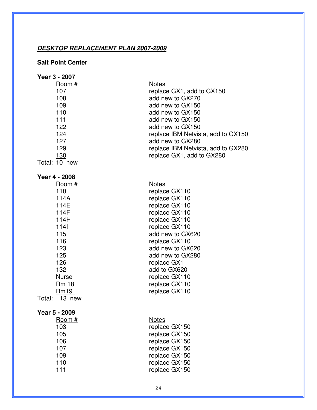### **DESKTOP REPLACEMENT PLAN 2007-2009**

### **Salt Point Center**

| Year 3 - 2007                                                                                                                                                            |                                                                                                                                                                                                                                                                                   |
|--------------------------------------------------------------------------------------------------------------------------------------------------------------------------|-----------------------------------------------------------------------------------------------------------------------------------------------------------------------------------------------------------------------------------------------------------------------------------|
| Room#<br>107<br>108<br>109<br>110<br>111<br>122<br>124<br>127<br>129<br>130<br>Total: 10 new                                                                             | <b>Notes</b><br>replace GX1, add to GX150<br>add new to GX270<br>add new to GX150<br>add new to GX150<br>add new to GX150<br>add new to GX150<br>replace IBM Netvista, add to GX150<br>add new to GX280<br>replace IBM Netvista, add to GX280<br>replace GX1, add to GX280        |
| Year 4 - 2008                                                                                                                                                            |                                                                                                                                                                                                                                                                                   |
| Room#<br>110<br>114A<br>114E<br>114F<br>114H<br>$1141$<br>115<br>116<br>123<br>125<br>126<br>132<br><b>Nurse</b><br><b>Rm 18</b><br>Rm <sub>19</sub><br>Total:<br>13 new | <b>Notes</b><br>replace GX110<br>replace GX110<br>replace GX110<br>replace GX110<br>replace GX110<br>replace GX110<br>add new to GX620<br>replace GX110<br>add new to GX620<br>add new to GX280<br>replace GX1<br>add to GX620<br>replace GX110<br>replace GX110<br>replace GX110 |
| Year 5 - 2009                                                                                                                                                            |                                                                                                                                                                                                                                                                                   |
| Room #                                                                                                                                                                   | <b>Notes</b>                                                                                                                                                                                                                                                                      |
| 103                                                                                                                                                                      | replace GX150                                                                                                                                                                                                                                                                     |
| 105<br>106                                                                                                                                                               | replace GX150                                                                                                                                                                                                                                                                     |
| 107                                                                                                                                                                      | replace GX150<br>replace GX150                                                                                                                                                                                                                                                    |
| 109                                                                                                                                                                      | replace GX150                                                                                                                                                                                                                                                                     |
| 110                                                                                                                                                                      | replace GX150                                                                                                                                                                                                                                                                     |
| 111                                                                                                                                                                      | replace GX150                                                                                                                                                                                                                                                                     |
|                                                                                                                                                                          |                                                                                                                                                                                                                                                                                   |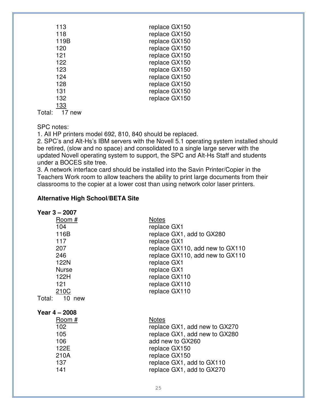| 113  | replace GX150 |
|------|---------------|
| 118  | replace GX150 |
| 119B | replace GX150 |
| 120  | replace GX150 |
| 121  | replace GX150 |
| 122  | replace GX150 |
| 123  | replace GX150 |
| 124  | replace GX150 |
| 128  | replace GX150 |
| 131  | replace GX150 |
| 132  | replace GX150 |
| 133  |               |

Total: 17 new

SPC notes:

1. All HP printers model 692, 810, 840 should be replaced.

2. SPC's and Alt-Hs's IBM servers with the Novell 5.1 operating system installed should be retired, (slow and no space) and consolidated to a single large server with the updated Novell operating system to support, the SPC and Alt-Hs Staff and students under a BOCES site tree.

3. A network interface card should be installed into the Savin Printer/Copier in the Teachers Work room to allow teachers the ability to print large documents from their classrooms to the copier at a lower cost than using network color laser printers.

### **Alternative High School/BETA Site**

| Year 3 – 2007    |                                 |
|------------------|---------------------------------|
| Room #           | <b>Notes</b>                    |
| 104              | replace GX1                     |
| 116B             | replace GX1, add to GX280       |
| 117              | replace GX1                     |
| 207              | replace GX110, add new to GX110 |
| 246              | replace GX110, add new to GX110 |
| 122N             | replace GX1                     |
| <b>Nurse</b>     | replace GX1                     |
| 122H             | replace GX110                   |
| 121              | replace GX110                   |
| 210C             | replace GX110                   |
| 10 new<br>Total: |                                 |
| Year $4 - 2008$  |                                 |
| Room#            | <b>Notes</b>                    |
| 102              | replace GX1, add new to GX270   |
| 105              | replace GX1, add new to GX280   |
| 106              | add new to GX260                |
| 122E             | replace GX150                   |
| 210A             | replace GX150                   |
| 137              | replace GX1, add to GX110       |
| 141              | replace GX1, add to GX270       |
|                  |                                 |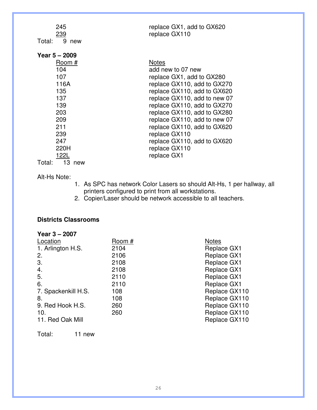| 245                 | replace GX1, add to GX620    |
|---------------------|------------------------------|
| <u>239</u>          | replace GX110                |
| 9 new<br>Total:     |                              |
| Year $5 - 2009$     |                              |
|                     |                              |
| Room #              | <b>Notes</b>                 |
| 104                 | add new to 07 new            |
| 107                 | replace GX1, add to GX280    |
| 116A                | replace GX110, add to GX270  |
| 135                 | replace GX110, add to GX620  |
| 137                 | replace GX110, add to new 07 |
| 139                 | replace GX110, add to GX270  |
| 203                 | replace GX110, add to GX280  |
| 209                 | replace GX110, add to new 07 |
| 211                 | replace GX110, add to GX620  |
| 239                 | replace GX110                |
| 247                 | replace GX110, add to GX620  |
| 220H                | replace GX110                |
| 122L                | replace GX1                  |
| Total:<br>13<br>new |                              |

### Alt-Hs Note:

- 1. As SPC has network Color Lasers so should Alt-Hs, 1 per hallway, all printers configured to print from all workstations.
- 2. Copier/Laser should be network accessible to all teachers.

### **Districts Classrooms**

| Year $3 - 2007$     |        |                    |
|---------------------|--------|--------------------|
| Location            | Room # | <b>Notes</b>       |
| 1. Arlington H.S.   | 2104   | Replace GX1        |
| 2.                  | 2106   | <b>Replace GX1</b> |
| 3.                  | 2108   | Replace GX1        |
| 4.                  | 2108   | Replace GX1        |
| 5.                  | 2110   | <b>Replace GX1</b> |
| 6.                  | 2110   | <b>Replace GX1</b> |
| 7. Spackenkill H.S. | 108    | Replace GX110      |
| 8.                  | 108    | Replace GX110      |
| 9. Red Hook H.S.    | 260    | Replace GX110      |
| 10.                 | 260    | Replace GX110      |
| 11. Red Oak Mill    |        | Replace GX110      |
|                     |        |                    |

Total: 11 new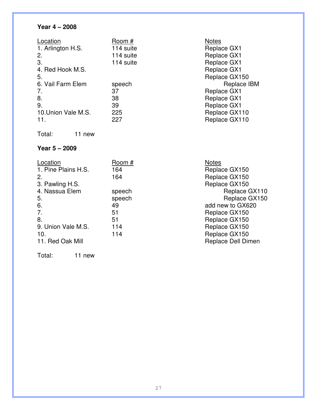# **Year 4 – 2008**

| Location            | Room #    | <b>Notes</b>       |
|---------------------|-----------|--------------------|
| 1. Arlington H.S.   | 114 suite | Replace GX1        |
| 2.                  | 114 suite | <b>Replace GX1</b> |
| 3.                  | 114 suite | Replace GX1        |
| 4. Red Hook M.S.    |           | <b>Replace GX1</b> |
| 5.                  |           | Replace GX150      |
| 6. Vail Farm Elem   | speech    | Replace IBM        |
| 7.                  | 37        | <b>Replace GX1</b> |
| 8.                  | 38        | <b>Replace GX1</b> |
| 9.                  | 39        | <b>Replace GX1</b> |
|                     |           |                    |
| 10. Union Vale M.S. | 225       | Replace GX110      |

Total: 11 new

# **Year 5 – 2009**

| Location            | Room # | <b>Notes</b>       |
|---------------------|--------|--------------------|
| 1. Pine Plains H.S. | 164    | Replace GX150      |
| 2.                  | 164    | Replace GX150      |
| 3. Pawling H.S.     |        | Replace GX150      |
| 4. Nassua Elem      | speech | Replace GX110      |
| 5.                  | speech | Replace GX150      |
| 6.                  | 49     | add new to GX620   |
| 7.                  | 51     | Replace GX150      |
| 8.                  | 51     | Replace GX150      |
| 9. Union Vale M.S.  | 114    | Replace GX150      |
| 10.                 | 114    | Replace GX150      |
| 11. Red Oak Mill    |        | Replace Dell Dimen |

Total: 11 new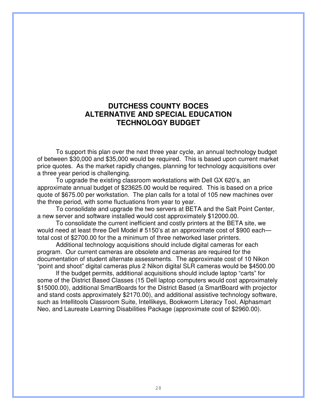# **DUTCHESS COUNTY BOCES ALTERNATIVE AND SPECIAL EDUCATION TECHNOLOGY BUDGET**

To support this plan over the next three year cycle, an annual technology budget of between \$30,000 and \$35,000 would be required. This is based upon current market price quotes. As the market rapidly changes, planning for technology acquisitions over a three year period is challenging.

 To upgrade the existing classroom workstations with Dell GX 620's, an approximate annual budget of \$23625.00 would be required. This is based on a price quote of \$675.00 per workstation. The plan calls for a total of 105 new machines over the three period, with some fluctuations from year to year.

 To consolidate and upgrade the two servers at BETA and the Salt Point Center, a new server and software installed would cost approximately \$12000.00.

 To consolidate the current inefficient and costly printers at the BETA site, we would need at least three Dell Model # 5150's at an approximate cost of \$900 each total cost of \$2700.00 for the a minimum of three networked laser printers.

 Additional technology acquisitions should include digital cameras for each program. Our current cameras are obsolete and cameras are required for the documentation of student alternate assessments. The approximate cost of 10 Nikon "point and shoot" digital cameras plus 2 Nikon digital SLR cameras would be \$4500.00

 If the budget permits, additional acquisitions should include laptop "carts" for some of the District Based Classes (15 Dell laptop computers would cost approximately \$15000.00), additional SmartBoards for the District Based (a SmartBoard with projector and stand costs approximately \$2170.00), and additional assistive technology software, such as Intellitools Classroom Suite, Intellikeys, Bookworm Literacy Tool, Alphasmart Neo, and Laureate Learning Disabilities Package (approximate cost of \$2960.00).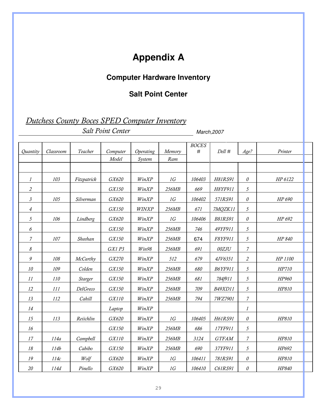# **Appendix A**

# **Computer Hardware Inventory**

# **Salt Point Center**

Dutchess County Boces SPED Computer Inventory

Salt Point Center March, 2007

|                            |           |             |          |           |           | <b>BOCES</b> |                |                  |         |  |
|----------------------------|-----------|-------------|----------|-----------|-----------|--------------|----------------|------------------|---------|--|
| <b>Ouantity</b>            | Classroom | Teacher     | Computer | Operating | Memory    | #            | Dell #         | Age?             | Printer |  |
|                            |           |             | Model    | System    | Ram       |              |                |                  |         |  |
|                            |           |             |          |           |           |              |                |                  |         |  |
| $\iota$                    | 103       | Fitzpatrick | GX620    | WinXP     | <i>1G</i> | 106403       | H81RS91        | 0                | HP 6122 |  |
| $\mathfrak{2}$             |           |             | GX150    | WinXP     | 256MB     | 669          | H8YF911        | 5                |         |  |
| $\mathfrak{Z}$             | 105       | Silverman   | GX620    | WinXP     | 1G        | 106402       | 571RS91        | $\mathcal O$     | HP 690  |  |
| $\overline{4}$             |           |             | GX150    | WINXP     | 256MB     | 671          | 7MQZK11        | 5                |         |  |
| 5                          | 106       | Lindberg    | GX620    | WinXP     | 1G        | 106406       | <b>B81RS91</b> | 0                | HP 692  |  |
| 6                          |           |             | GX150    | WinXP     | 256MB     | 746          | 49YF911        | 5                |         |  |
| 7                          | 107       | Sheehan     | GX150    | WinXP     | 256MB     | 674          | F8YF911        | 5                | HP 840  |  |
| $\boldsymbol{\mathcal{S}}$ |           |             | GX1 P3   | Win98     | 256MB     | 691          | 00ZJU          | $\overline{7}$   |         |  |
| 9                          | 108       | McCarthy    | GX270    | WinXP     | 512       | 679          | 4JV6351        | 2                | HP 1100 |  |
| 10                         | 109       | Colden      | GX150    | WinXP     | 256MB     | 680          | <b>B6YF911</b> | 5                | HP710   |  |
| 11                         | 110       | Starger     | GX150    | WinXP     | 256MB     | 681          | 784f911        | 5                | HP960   |  |
| 12                         | 111       | DelGreco    | GX150    | WinXP     | 256MB     | 709          | <b>B49XD11</b> | 5                | HP810   |  |
| 13                         | 112       | Cahill      | GX110    | WinXP     | 256MB     | 794          | 7WZ7901        | $\boldsymbol{7}$ |         |  |
| 14                         |           |             | Laptop   | WinXP     |           |              |                | $\boldsymbol{l}$ |         |  |
| 15                         | 113       | Reiichlin   | GX620    | WinXP     | 1G        | 106405       | H61RS91        | 0                | HP810   |  |
| 16                         |           |             | GX150    | WinXP     | 256MB     | 686          | 17YF911        | 5                |         |  |
| 17                         | 114a      | Campbell    | GX110    | WinXP     | 256MB     | 3124         | <b>GTFAM</b>   | 7                | HP810   |  |
| 18                         | 114b      | Cabibo      | GX150    | WinXP     | 256MB     | 690          | 37YF911        | 5                | HP692   |  |
| 19                         | 114c      | Wolf        | GX620    | WinXP     | 1G        | 106411       | 781RS91        | 0                | HP810   |  |
| 20                         | 114d      | Pinello     | GX620    | WinXP     | 1G        | 106410       | C61RS91        | 0                | HP840   |  |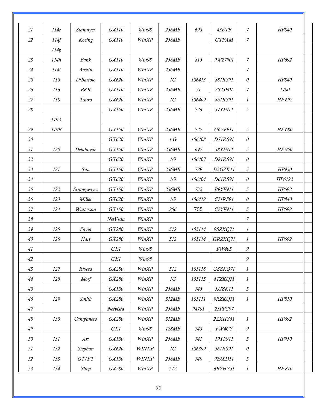| 21     | 114e | <b>Stanmyer</b> | GX110    | Win98        | 256MB | 693    | 43ETB          | $\overline{7}$   | HP840  |
|--------|------|-----------------|----------|--------------|-------|--------|----------------|------------------|--------|
| 22     | 114f | Koeing          | GX110    | WinXP        | 256MB |        | <b>GTFAM</b>   | 7                |        |
|        | 114g |                 |          |              |       |        |                |                  |        |
| 23     | 114h | Bank            | GX110    | Win98        | 256MB | 815    | 9W27901        | 7                | HP692  |
| 24     | 114i | Austin          | GX110    | WinXP        | 256MB |        |                | $\overline{7}$   |        |
| 25     | 115  | DiBartolo       | GX620    | WinXP        | 1G    | 106413 | 881RS91        | $\mathcal O$     | HP840  |
| 26     | 116  | <b>BRR</b>      | GX110    | WinXP        | 256MB | 71     | 3S25F01        | 7                | 1700   |
| 27     | 118  | Tauro           | GX620    | WinXP        | 1G    | 106409 | 861RS91        | $\iota$          | HP 692 |
| 28     |      |                 | GX150    | WinXP        | 256MB | 726    | 57YF911        | 5                |        |
|        | 119A |                 |          |              |       |        |                |                  |        |
| 29     | 119B |                 | GX150    | WinXP        | 256MB | 727    | G6YF911        | $\mathfrak{H}$   | HP 680 |
| $30\,$ |      |                 | GX620    | WinXP        | 1 G   | 106408 | D71RS91        | $\mathcal O$     |        |
| 31     | 120  | Delahoyde       | GX150    | WinXP        | 256MB | 697    | 58YF911        | 5                | HP 950 |
| 32     |      |                 | GX620    | WinXP        | 1G    | 106407 | D81RS91        | $\mathcal O$     |        |
| 33     | 121  | Sita            | GX150    | WinXP        | 256MB | 729    | D3GZK11        | 5                | HP950  |
| 34     |      |                 | GX620    | WinXP        | 1G    | 106404 | D61RS91        | $\theta$         | HP6122 |
| 35     | 122  | Strangwayes     | GX150    | WinXP        | 256MB | 732    | <b>B9YF911</b> | $\sqrt{5}$       | HP692  |
| 36     | 123  | Miller          | GX620    | WinXP        | 1G    | 106412 | C71RS91        | $\theta$         | HP840  |
| 37     | 124  | Watterson       | GX150    | WinXP        | 256   | 735    | C7YF911        | 5                | HP692  |
| $38\,$ |      |                 | NetVista | WinXP        |       |        |                | 7                |        |
| 39     | 125  | Favia           | GX280    | WinXP        | 512   | 105114 | 9SZKQ71        | 1                |        |
| 40     | 126  | Hart            | GX280    | WinXP        | 512   | 105114 | GRZKQ71        | $\boldsymbol{l}$ | HP692  |
| $41\,$ |      |                 | GX1      | Win98        |       |        | FW405          | 9                |        |
| 42     |      |                 | GX1      | Win98        |       |        |                | $\boldsymbol{g}$ |        |
| $43\,$ | 127  | Rivera          | GX280    | WinXP        | 512   | 105118 | GSZKQ71        | $\boldsymbol{l}$ |        |
| 44     | 128  | Morf            | GX280    | WinXP        | 1G    | 105115 | 4TZKQ71        | $\mathcal{I}$    |        |
| 45     |      |                 | GX150    | WinXP        | 256MB | 745    | 5JJZK11        | 5                |        |
| 46     | 129  | Smith           | GX280    | WinXP        | 512MB | 105111 | 9RZKQ71        | $\mathcal{I}$    | HP810  |
| 47     |      |                 | Netvista | WinXP        | 256MB | 94701  | 23PPC97        |                  |        |
| 48     | 130  | Campanero       | GX280    | WinXP        | 512MB |        | 2ZXHY51        | $\boldsymbol{l}$ | HP692  |
| 49     |      |                 | GX1      | Win98        | 128MB | 743    | $FW4CY$        | $\boldsymbol{g}$ |        |
| 50     | 131  | Art             | GX150    | WinXP        | 256MB | 741    | 19YF911        | $\mathfrak{H}$   | HP950  |
| 51     | 132  | Stephan         | GX620    | <b>WINXP</b> | 1G    | 106399 | <i>J61RS91</i> | $\mathcal O$     |        |
| 52     | 133  | OT/PT           | GX150    | WINXP        | 256MB | 749    | 929XD11        | $\mathfrak{H}$   |        |
| 53     | 134  | Shop            | GX280    | WinXP        | 512   |        | 6BYHY51        | $\mathcal{I}$    | HP 810 |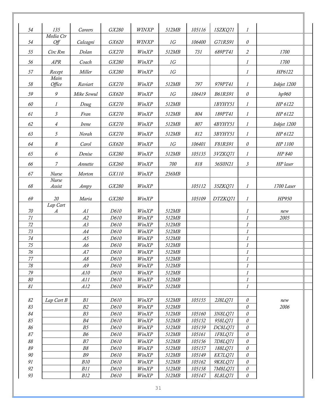| 54                   | 135                          | Careers          | GX280        | WINXP          | 512MB          | 105116           | 1SZKQ71            | $\mathcal{I}$                |             |
|----------------------|------------------------------|------------------|--------------|----------------|----------------|------------------|--------------------|------------------------------|-------------|
| 54                   | Media Ctr<br>Off             | Calcagni         | GX620        | WINXP          | 1G             | 106400           | G71RS91            | $\mathcal O$                 |             |
| 55                   | Circ Rm                      | Dolan            | GX270        | WinXP          | 512MB          | 731              | 689PT41            | $\mathfrak{2}$               | 1700        |
| 56                   | APR                          | Coach            | GX280        | WinXP          | 1G             |                  |                    | $\boldsymbol{l}$             | 1700        |
| 57                   | Recept                       | Miller           | GX280        | WinXP          | 1G             |                  |                    | $\boldsymbol{l}$             | HP6122      |
| $58\,$               | Main<br>Office               | Raviart          | GX270        | WinXP          | 512MB          | 797              | 979PT41            | 1                            | Inkjet 1200 |
| 59                   | $\boldsymbol{g}$             | Mike Sowul       | GX620        | WinXP          | 1G             | 106419           | <b>B61RS91</b>     | $\theta$                     | hp960       |
| 60                   | $\mathcal{I}$                | Doug             | GX270        | WinXP          | 512MB          |                  | 1BYHY51            | $\mathcal{I}$                | HP 6122     |
| 61                   | 3                            | Fran             | GX270        | WinXP          | 512MB          | 804              | 189PT41            | $\boldsymbol{l}$             | HP 6122     |
| 62                   |                              | Irene            | GX270        | WinXP          | 512MB          | 807              | 4BYHY51            | 1                            | Inkjet 1200 |
|                      | 4                            |                  |              |                |                |                  |                    |                              |             |
| 63                   | 5                            | Norah            | GX270        | WinXP          | 512MB          | 812              | 3BYHY51            | $\boldsymbol{l}$             | HP 6122     |
| 64                   | 8                            | Carol            | GX620        | WinXP          | 1G             | 106401           | F81RS91            | $\mathcal O$                 | HP 1100     |
| 65                   | 6                            | Denise           | GX280        | WinXP          | 512MB          | 105135           | 3VZKQ71            | $\mathcal{I}$                | HP 840      |
| 66                   | 7                            | Annette          | GX260        | WinXP          | 700            | 818              | 56S0N21            | $\mathfrak{Z}$               | HP laser    |
| 67                   | Nurse                        | Morton           | GX110        | WinXP          | 256MB          |                  |                    |                              |             |
| 68                   | Nurse<br>Assist              | Ampy             | GX280        | WinXP          |                | 105112           | 35ZKQ71            | $\boldsymbol{l}$             | 1700 Laser  |
| 69                   | 20                           | Maria            | GX280        | WinXP          |                | 105109           | DTZKQ71            | $\boldsymbol{l}$             | HP950       |
| 70                   | Lap Cart<br>$\boldsymbol{A}$ | AI               | D610         | WinXP          | 512MB          |                  |                    | $\boldsymbol{l}$             | new         |
| 71                   |                              | A2               | D610         | WinXP          | 512MB          |                  |                    | $\boldsymbol{l}$             | 2005        |
| 72                   |                              | A3               | D610         | WinXP          | 512MB          |                  |                    | $\boldsymbol{l}$             |             |
| 73                   |                              | A4               | D610         | WinXP          | 512MB          |                  |                    | $\boldsymbol{l}$             |             |
| 74                   |                              | A5               | D610         | WinXP          | 512MB          |                  |                    | $\cal I$                     |             |
| $\overline{75}$      |                              | A6               | D610         | WinXP          | 512MB          |                  |                    | $\mathcal{I}$                |             |
| $76$                 |                              | A7               | D610         | WinXP          | 512MB          |                  |                    | 1                            |             |
| 77                   |                              | A8               | D610         | WinXP          | 512MB          |                  |                    | $\iota$                      |             |
| $78\,$               |                              | A9               | D610         | WinXP          | 512MB          |                  |                    | $\boldsymbol{l}$             |             |
| 79<br>$\delta\theta$ |                              | A10<br>A11       | D610<br>D610 | WinXP<br>WinXP | 512MB<br>512MB |                  |                    | $\cal I$<br>$\boldsymbol{l}$ |             |
| $\mathcal{S}1$       |                              | A12              | D610         | WinXP          | 512MB          |                  |                    | 1                            |             |
|                      |                              |                  |              |                |                |                  |                    |                              |             |
| 82                   | Lap Cart B                   | B1               | D610         | WinXP          | 512MB          | 105155           | 2J8LQ71            | $\theta$                     | new         |
| 83                   |                              | B2               | D610         | WinXP          | 512MB          |                  |                    | $\mathcal O$                 | 2006        |
| 84                   |                              | $B3\,$           | D610         | WinXP          | 512MB          | 105160           | 3N8LQ71            | 0                            |             |
| 85                   |                              | B4               | D610         | WinXP          | 512MB          | 105152           | 958LQ71            | $\theta$                     |             |
| 86                   |                              | B5               | D610         | WinXP          | 512MB          | 105159           | DC8LQ71            | $\theta$                     |             |
| 87<br>$\delta\delta$ |                              | ${\it B6}$<br>B7 | D610<br>D610 | WinXP          | 512MB          | 105161           | 1F8LQ71            | $\theta$                     |             |
| 89                   |                              | $B\mathcal S$    | D610         | WinXP<br>WinXP | 512MB<br>512MB | 105156<br>105157 | 7D8LQ71<br>188LQ71 | $\theta$<br>0                |             |
| 90                   |                              | $B\mathcal{G}$   | D610         | WinXP          | 512MB          | 105149           | 8X7LQ71            | $\theta$                     |             |
| $\mathfrak{g}_1$     |                              | <b>B10</b>       | D610         | WinXP          | 512MB          | 105162           | 9K8LQ71            | $\theta$                     |             |
| 92                   |                              | B11              | D610         | WinXP          | 512MB          | 105158           | 7M8LQ71            | $\theta$                     |             |
| 93                   |                              | B12              | D610         | WinXP          | 512MB          | 105147           | 8L8LQ71            | $\theta$                     |             |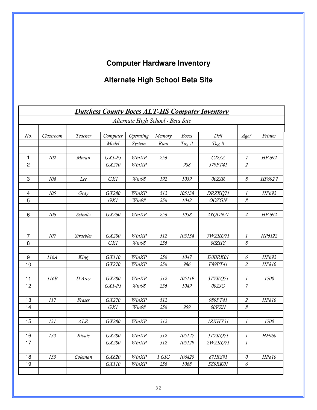# **Computer Hardware Inventory**

# **Alternate High School Beta Site**

|                |           |                  |          |                                   |        |        | <b>Dutchess County Boces ALT-HS Computer Inventory</b> |                  |         |
|----------------|-----------|------------------|----------|-----------------------------------|--------|--------|--------------------------------------------------------|------------------|---------|
|                |           |                  |          | Alternate High School - Beta Site |        |        |                                                        |                  |         |
|                |           |                  |          |                                   |        |        |                                                        |                  |         |
| No.            | Classroom | Teacher          | Computer | Operating                         | Memory | Boces  | Dell                                                   | Age?             | Printer |
|                |           |                  | Model    | System                            | Ram    | Tag #  | Tag #                                                  |                  |         |
| $\mathbf{1}$   | 102       | Moran            | $GX1-P3$ | WinXP                             | 256    |        | CJ23A                                                  | 7                | HP 692  |
| $\overline{c}$ |           |                  | GX270    | WinXP                             |        | 988    | J79PT41                                                | $\overline{c}$   |         |
| 3              | 104       | Lee              | GX1      | Win98                             | 192    | 1039   | 00ZJR                                                  | 8                | HP692?  |
| 4              | 105       | Gray             | GX280    | WinXP                             | 512    | 105138 | DRZKQ71                                                | 1                | HP692   |
| 5              |           |                  | GX1      | Win98                             | 256    | 1042   | <b>OOZGN</b>                                           | 8                |         |
|                |           |                  |          |                                   |        |        |                                                        |                  |         |
| 6              | 106       | Schultz          | GX260    | WinXP                             | 256    | 1058   | 2YQDN21                                                | 4                | HP 692  |
|                |           |                  |          |                                   |        |        |                                                        |                  |         |
| $\overline{7}$ | 107       | Straebler        | GX280    | WinXP                             | 512    | 105134 | 7WZKQ71                                                | $\mathcal{I}$    | HP6122  |
| 8              |           |                  | GX1      | Win98                             | 256    |        | 00ZHY                                                  | 8                |         |
|                |           |                  |          |                                   |        |        |                                                        |                  |         |
| 9              | 116A      | King             | GX110    | WinXP                             | 256    | 1047   | D0BRK01                                                | 6                | HP692   |
| 10             |           |                  | GX270    | WinXP                             | 256    | 986    | F89PT41                                                | 2                | HP810   |
| 11             | 116B      | $D'$ <i>Arcy</i> | GX280    | WinXP                             | 512    | 105119 | 3TZKQ71                                                | 1                | 1700    |
| 12             |           |                  | $GX1-P3$ | Win98                             | 256    | 1049   | 00ZJG                                                  | $\overline{7}$   |         |
|                |           |                  |          |                                   |        |        |                                                        |                  |         |
| 13             | 117       | Fraser           | GX270    | WinXP                             | 512    |        | 989PT41                                                | $\mathfrak{2}$   | HP810   |
| 14             |           |                  | GX1      | Win98                             | 256    | 959    | 00VZN                                                  | 8                |         |
|                |           |                  |          |                                   |        |        |                                                        |                  |         |
| 15             | 131       | ALR              | GX280    | WinXP                             | 512    |        | 1ZXHY51                                                | 1                | 1700    |
| 16             | 133       | Rivais           | GX280    | WinXP                             | 512    | 105127 | JTZKQ71                                                | $\mathcal{I}$    | HP960   |
| 17             |           |                  | GX280    | WinXP                             | 512    | 105129 | 2WZKQ71                                                | $\boldsymbol{l}$ |         |
|                | 135       | Coleman          | GX620    | WinXP                             | 1 GIG  | 106420 |                                                        | $\mathcal O$     | HP810   |
| 18<br>19       |           |                  | GX110    | WinXP                             | 256    | 1068   | 871RS91<br>5Z9RK01                                     | 6                |         |
|                |           |                  |          |                                   |        |        |                                                        |                  |         |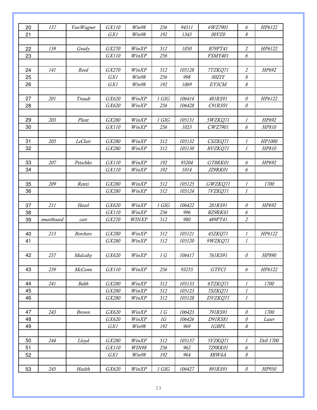| 20 | 137        |                 | GX110   | Win98        | 256   | 94311  | 6WZ7901          | 6                          | HP6122    |
|----|------------|-----------------|---------|--------------|-------|--------|------------------|----------------------------|-----------|
|    |            | Van Wagner      |         |              |       |        |                  |                            |           |
| 21 |            |                 | GX1     | Win98        | 192   | 1343   | 00VZ0            | 8                          |           |
|    | 139        |                 |         |              |       |        |                  | $\overline{2}$             |           |
| 22 |            | Grady           | GX270   | WinXP        | 512   | 1050   | <b>B79PT41</b>   |                            | HP6122    |
| 23 |            |                 | GX110   | WinXP        | 256   |        | <b>FSMY401</b>   | $\boldsymbol{\delta}$      |           |
| 24 | 141        | Reed            | GX270   | WinXP        | 512   | 105128 |                  | 2                          | HP692     |
| 25 |            |                 | GX1     | Win98        | 256   | 998    | 7TZKQ71<br>00ZIY | 8                          |           |
| 26 |            |                 | GX1     | Win98        | 192   | 1069   | EY3CM            | $\boldsymbol{\mathcal{S}}$ |           |
|    |            |                 |         |              |       |        |                  |                            |           |
| 27 | 201        | Traudt          | GX620   | WinXP        | 1 GIG | 106414 | 481RS91          | $\theta$                   | HP6122    |
| 28 |            |                 | GX620   | WinXP        | 256   | 106428 | C91RS91          | $\mathcal O$               |           |
|    |            |                 |         |              |       |        |                  |                            |           |
| 29 | 203        | Plant           | GX280   | WinXP        | 1 GIG | 105131 | 5WZKQ71          | 1                          | HP692     |
| 30 |            |                 | GX110   | WinXP        | 256   | 1023   | CWZ7901          | 6                          | HP810     |
|    |            |                 |         |              |       |        |                  |                            |           |
| 31 | 205        | LeClair         | GX280   | WinXP        | 512   | 105132 | CSZKQ71          | 1                          | HP1000    |
| 32 |            |                 | GX280   | WinXP        | 512   | 105130 | BVZKQ71          | $\mathcal{I}$              | HP810     |
|    |            |                 |         |              |       |        |                  |                            |           |
| 33 | 207        | Petschko        | GX110   | WinXP        | 192   | 95204  | GT8RK01          | $\boldsymbol{\delta}$      | HP692     |
| 34 |            |                 | GX110   | WinXP        | 192   | 1014   | JZ9RK01          | 6                          |           |
|    |            |                 |         |              |       |        |                  |                            |           |
| 35 | 209        | Renzi           | GX280   | WinXP        | 512   | 105125 | GWZKQ71          | 1                          | 1700      |
| 36 |            |                 | GX280   | WinXP        | 512   | 105124 | 7VZKQ71          | $\cal I$                   |           |
|    |            |                 |         |              |       |        |                  |                            |           |
| 37 | 211        | Hazel           | GX620   | WinXP        | 1 GIG | 106422 | 281RS91          | $\mathcal O$               | HP692     |
| 38 |            |                 | GX110   | WinXP        | 256   | 996    | BZ9RK01          | $\boldsymbol{\delta}$      |           |
| 39 | smartboard | cart            | GX270   | WINXP        | 512   | 980    | 489PT41          | $\mathfrak{2}$             |           |
|    |            |                 |         |              |       |        |                  |                            |           |
| 40 | 213        | <b>Borchers</b> | GX280   | WinXP        | 512   | 105121 | 45ZKQ71          | 1                          | HP6122    |
| 41 |            |                 | GX280   | WinXP        | 512   | 105120 | 9WZKQ71          | $\mathcal{I}$              |           |
|    |            |                 |         |              |       |        |                  |                            |           |
| 42 | 237        | Mulcahy         | GX620   | WinXP        | 1 G   | 106417 | 761RS91          | $\mathcal O$               | HP890     |
|    |            |                 |         |              |       |        |                  |                            |           |
| 43 | 239        | McCann          | GX110   | WinXP        | 256   | 93255  | <b>GTFCI</b>     | $\boldsymbol{\delta}$      | HP6122    |
|    |            |                 |         |              |       |        |                  |                            |           |
| 44 | 241        | Babb            | GX280   | WinXP        | 512   | 105133 | 6TZKQ71          | $\iota$                    | 1700      |
| 45 |            |                 | GX280   | WinXP        | 512   | 105123 | 7SZKQ71          | $\boldsymbol{l}$           |           |
| 46 |            |                 | GX280   | WinXP        | 512   | 105128 | DVZKQ71          | $\boldsymbol{l}$           |           |
|    |            |                 |         |              |       |        |                  |                            |           |
| 47 | 243        | Brown           | $GX620$ | WinXP        | 1 G   | 106423 | 791RS91          | $\mathcal O$               | 1700      |
| 48 |            |                 | GX620   | WinXP        | 1G    | 106426 | D91RS81          | $\mathcal O$               | Laser     |
| 49 |            |                 | GX1     | Win98        | 192   | 969    | 1GBPL            | $\boldsymbol{\mathcal{S}}$ |           |
|    |            |                 |         |              |       |        |                  |                            |           |
| 50 | 244        | Lloyd           | GX280   | WinXP        | 512   | 105137 | 5VZKQ71          | $\mathcal{I}$              | Dell 1700 |
| 51 |            |                 | GX110   | <b>WIN98</b> | 256   | 962    | 7Z9RK01          | $\boldsymbol{\delta}$      |           |
| 52 |            |                 | GX1     | Win98        | 192   | 964    | 8BW4A            | $\boldsymbol{\mathcal{S}}$ |           |
|    |            |                 |         |              |       |        |                  |                            |           |
| 53 | 245        | Health          | GX620   | WinXP        | 1 GIG | 106427 | 891RS91          | $\mathcal O$               | HP950     |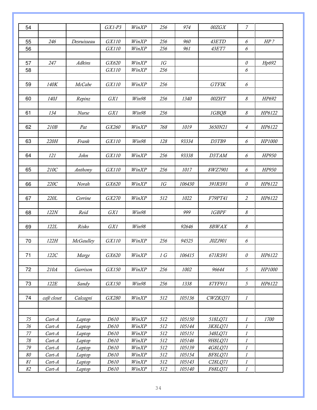| 54<br>$GX1-P3$<br>974<br>$\overline{7}$<br>WinXP<br>256<br>00ZGX<br>GX110<br>WinXP<br>960<br>43ETD<br>55<br>246<br>256<br>6<br>$HP$ ?<br>Desruisseau<br>GX110<br>256<br>961<br><b>43ET7</b><br>56<br>WinXP<br>6<br><b>Adkins</b><br>GX620<br>WinXP<br>1G<br>57<br>247<br>0<br>Hp692<br>GX110<br>256<br>6<br>58<br>WinXP<br>59<br><b>McCabe</b><br>GX110<br>256<br>140K<br>WinXP<br><b>GTFIK</b><br>6<br>00ZHT<br>$\boldsymbol{\mathcal{S}}$<br>60<br>140J<br>Repinz<br>GX1<br>Win98<br>256<br>1340<br>HP692<br>GX1<br>Win98<br>256<br>1GBQB<br>8<br>HP6122<br>61<br>134<br><b>Nurse</b><br>$\overline{4}$<br>62<br>210B<br>Pat<br>GX260<br>WinXP<br>768<br>1019<br>3650N21<br>HP6122<br>Frank<br>GX110<br>Win98<br>D3TB9<br>63<br>220H<br>128<br>93334<br>HP1000<br>6<br>121<br>John<br>GX110<br>WinXP<br>93338<br>D3TAM<br>6<br>HP950<br>64<br>256<br>65<br>210C<br>GX110<br>256<br>1017<br>8WZ7901<br>6<br>HP950<br>Anthony<br>WinXP<br>220C<br>66<br>Norah<br>GX620<br>WinXP<br>1G<br>106430<br>391RS91<br>$\mathcal O$<br>HP6122<br>67<br>220L<br>Corrine<br>GX270<br>WinXP<br>1022<br>F79PT41<br>$\overline{2}$<br>HP6122<br>512<br>999<br>$\boldsymbol{\mathcal{S}}$<br>122N<br>Reid<br>GX1<br>Win98<br>1GBPF<br>68<br>$\boldsymbol{\mathcal{S}}$<br>69<br>122L<br>Risko<br>GX1<br>Win98<br>92646<br>8BWAX<br>122H<br>GX110<br>J0ZJ901<br>70<br><b>McGaulley</b><br>WinXP<br>256<br>94525<br>6<br>71<br>122C<br>GX620<br>WinXP<br>Marge<br>1 G<br>106415<br>671RS91<br>$\mathcal O$<br>HP6122<br>72<br>Garrison<br>$\mathfrak{H}$<br>210A<br>GX150<br>WinXP<br>96644<br>HP1000<br>256<br>1002<br>73<br>122E<br>Sandy<br>GX150<br>Win98<br>256<br>1338<br>87YF911<br>5<br>HP6122<br>74<br>café closet<br>GX280<br>WinXP<br>512<br>$\cal I$<br>Calcagni<br>105136<br>CWZKQ71<br>75<br>$Cart-A$<br>D610<br>WinXP<br>512<br>105150<br>518LQ71<br>Laptop<br>$\boldsymbol{l}$<br>1700<br>76<br>D610<br>WinXP<br>512<br>105144<br>3K8LQ71<br>$Cart-A$<br>$\boldsymbol{l}$<br>Laptop<br>77<br>$Cart-A$<br>D610<br>WinXP<br>512<br>105151<br>348LQ71<br>$\mathcal{I}$<br>Laptop<br>$78\,$<br>$Cart-A$<br>512<br>D610<br>WinXP<br>105146<br>9H8LQ71<br>$\boldsymbol{l}$<br>Laptop<br>$79\,$<br>512<br>$Cart-A$<br>D610<br>WinXP<br>105139<br>4G8LQ71<br>Laptop<br>$\boldsymbol{l}$<br>80<br>$Cart-A$<br>D610<br>WinXP<br>512<br>105154<br>BF8LQ71<br>Laptop<br>$\iota$<br>$\mathcal{S}1$<br>512<br>105143<br>$Cart-A$<br>Laptop<br>D610<br>WinXP<br>C28LQ71<br>$\iota$<br>82<br>512<br>F68LQ71<br>$\mathcal{I}$<br>$Cart-A$<br>D610<br>WinXP<br>105140<br>Laptop |  |  |  |  |  |
|--------------------------------------------------------------------------------------------------------------------------------------------------------------------------------------------------------------------------------------------------------------------------------------------------------------------------------------------------------------------------------------------------------------------------------------------------------------------------------------------------------------------------------------------------------------------------------------------------------------------------------------------------------------------------------------------------------------------------------------------------------------------------------------------------------------------------------------------------------------------------------------------------------------------------------------------------------------------------------------------------------------------------------------------------------------------------------------------------------------------------------------------------------------------------------------------------------------------------------------------------------------------------------------------------------------------------------------------------------------------------------------------------------------------------------------------------------------------------------------------------------------------------------------------------------------------------------------------------------------------------------------------------------------------------------------------------------------------------------------------------------------------------------------------------------------------------------------------------------------------------------------------------------------------------------------------------------------------------------------------------------------------------------------------------------------------------------------------------------------------------------------------------------------------------------------------------------------------------------------------------------------------------------------------------------------------------------------------------------------------------------------------------------------------------------------------------------------------------------------------------------------------------------------------------------------|--|--|--|--|--|
|                                                                                                                                                                                                                                                                                                                                                                                                                                                                                                                                                                                                                                                                                                                                                                                                                                                                                                                                                                                                                                                                                                                                                                                                                                                                                                                                                                                                                                                                                                                                                                                                                                                                                                                                                                                                                                                                                                                                                                                                                                                                                                                                                                                                                                                                                                                                                                                                                                                                                                                                                              |  |  |  |  |  |
|                                                                                                                                                                                                                                                                                                                                                                                                                                                                                                                                                                                                                                                                                                                                                                                                                                                                                                                                                                                                                                                                                                                                                                                                                                                                                                                                                                                                                                                                                                                                                                                                                                                                                                                                                                                                                                                                                                                                                                                                                                                                                                                                                                                                                                                                                                                                                                                                                                                                                                                                                              |  |  |  |  |  |
|                                                                                                                                                                                                                                                                                                                                                                                                                                                                                                                                                                                                                                                                                                                                                                                                                                                                                                                                                                                                                                                                                                                                                                                                                                                                                                                                                                                                                                                                                                                                                                                                                                                                                                                                                                                                                                                                                                                                                                                                                                                                                                                                                                                                                                                                                                                                                                                                                                                                                                                                                              |  |  |  |  |  |
|                                                                                                                                                                                                                                                                                                                                                                                                                                                                                                                                                                                                                                                                                                                                                                                                                                                                                                                                                                                                                                                                                                                                                                                                                                                                                                                                                                                                                                                                                                                                                                                                                                                                                                                                                                                                                                                                                                                                                                                                                                                                                                                                                                                                                                                                                                                                                                                                                                                                                                                                                              |  |  |  |  |  |
|                                                                                                                                                                                                                                                                                                                                                                                                                                                                                                                                                                                                                                                                                                                                                                                                                                                                                                                                                                                                                                                                                                                                                                                                                                                                                                                                                                                                                                                                                                                                                                                                                                                                                                                                                                                                                                                                                                                                                                                                                                                                                                                                                                                                                                                                                                                                                                                                                                                                                                                                                              |  |  |  |  |  |
|                                                                                                                                                                                                                                                                                                                                                                                                                                                                                                                                                                                                                                                                                                                                                                                                                                                                                                                                                                                                                                                                                                                                                                                                                                                                                                                                                                                                                                                                                                                                                                                                                                                                                                                                                                                                                                                                                                                                                                                                                                                                                                                                                                                                                                                                                                                                                                                                                                                                                                                                                              |  |  |  |  |  |
|                                                                                                                                                                                                                                                                                                                                                                                                                                                                                                                                                                                                                                                                                                                                                                                                                                                                                                                                                                                                                                                                                                                                                                                                                                                                                                                                                                                                                                                                                                                                                                                                                                                                                                                                                                                                                                                                                                                                                                                                                                                                                                                                                                                                                                                                                                                                                                                                                                                                                                                                                              |  |  |  |  |  |
|                                                                                                                                                                                                                                                                                                                                                                                                                                                                                                                                                                                                                                                                                                                                                                                                                                                                                                                                                                                                                                                                                                                                                                                                                                                                                                                                                                                                                                                                                                                                                                                                                                                                                                                                                                                                                                                                                                                                                                                                                                                                                                                                                                                                                                                                                                                                                                                                                                                                                                                                                              |  |  |  |  |  |
|                                                                                                                                                                                                                                                                                                                                                                                                                                                                                                                                                                                                                                                                                                                                                                                                                                                                                                                                                                                                                                                                                                                                                                                                                                                                                                                                                                                                                                                                                                                                                                                                                                                                                                                                                                                                                                                                                                                                                                                                                                                                                                                                                                                                                                                                                                                                                                                                                                                                                                                                                              |  |  |  |  |  |
|                                                                                                                                                                                                                                                                                                                                                                                                                                                                                                                                                                                                                                                                                                                                                                                                                                                                                                                                                                                                                                                                                                                                                                                                                                                                                                                                                                                                                                                                                                                                                                                                                                                                                                                                                                                                                                                                                                                                                                                                                                                                                                                                                                                                                                                                                                                                                                                                                                                                                                                                                              |  |  |  |  |  |
|                                                                                                                                                                                                                                                                                                                                                                                                                                                                                                                                                                                                                                                                                                                                                                                                                                                                                                                                                                                                                                                                                                                                                                                                                                                                                                                                                                                                                                                                                                                                                                                                                                                                                                                                                                                                                                                                                                                                                                                                                                                                                                                                                                                                                                                                                                                                                                                                                                                                                                                                                              |  |  |  |  |  |
|                                                                                                                                                                                                                                                                                                                                                                                                                                                                                                                                                                                                                                                                                                                                                                                                                                                                                                                                                                                                                                                                                                                                                                                                                                                                                                                                                                                                                                                                                                                                                                                                                                                                                                                                                                                                                                                                                                                                                                                                                                                                                                                                                                                                                                                                                                                                                                                                                                                                                                                                                              |  |  |  |  |  |
|                                                                                                                                                                                                                                                                                                                                                                                                                                                                                                                                                                                                                                                                                                                                                                                                                                                                                                                                                                                                                                                                                                                                                                                                                                                                                                                                                                                                                                                                                                                                                                                                                                                                                                                                                                                                                                                                                                                                                                                                                                                                                                                                                                                                                                                                                                                                                                                                                                                                                                                                                              |  |  |  |  |  |
|                                                                                                                                                                                                                                                                                                                                                                                                                                                                                                                                                                                                                                                                                                                                                                                                                                                                                                                                                                                                                                                                                                                                                                                                                                                                                                                                                                                                                                                                                                                                                                                                                                                                                                                                                                                                                                                                                                                                                                                                                                                                                                                                                                                                                                                                                                                                                                                                                                                                                                                                                              |  |  |  |  |  |
|                                                                                                                                                                                                                                                                                                                                                                                                                                                                                                                                                                                                                                                                                                                                                                                                                                                                                                                                                                                                                                                                                                                                                                                                                                                                                                                                                                                                                                                                                                                                                                                                                                                                                                                                                                                                                                                                                                                                                                                                                                                                                                                                                                                                                                                                                                                                                                                                                                                                                                                                                              |  |  |  |  |  |
|                                                                                                                                                                                                                                                                                                                                                                                                                                                                                                                                                                                                                                                                                                                                                                                                                                                                                                                                                                                                                                                                                                                                                                                                                                                                                                                                                                                                                                                                                                                                                                                                                                                                                                                                                                                                                                                                                                                                                                                                                                                                                                                                                                                                                                                                                                                                                                                                                                                                                                                                                              |  |  |  |  |  |
|                                                                                                                                                                                                                                                                                                                                                                                                                                                                                                                                                                                                                                                                                                                                                                                                                                                                                                                                                                                                                                                                                                                                                                                                                                                                                                                                                                                                                                                                                                                                                                                                                                                                                                                                                                                                                                                                                                                                                                                                                                                                                                                                                                                                                                                                                                                                                                                                                                                                                                                                                              |  |  |  |  |  |
|                                                                                                                                                                                                                                                                                                                                                                                                                                                                                                                                                                                                                                                                                                                                                                                                                                                                                                                                                                                                                                                                                                                                                                                                                                                                                                                                                                                                                                                                                                                                                                                                                                                                                                                                                                                                                                                                                                                                                                                                                                                                                                                                                                                                                                                                                                                                                                                                                                                                                                                                                              |  |  |  |  |  |
|                                                                                                                                                                                                                                                                                                                                                                                                                                                                                                                                                                                                                                                                                                                                                                                                                                                                                                                                                                                                                                                                                                                                                                                                                                                                                                                                                                                                                                                                                                                                                                                                                                                                                                                                                                                                                                                                                                                                                                                                                                                                                                                                                                                                                                                                                                                                                                                                                                                                                                                                                              |  |  |  |  |  |
|                                                                                                                                                                                                                                                                                                                                                                                                                                                                                                                                                                                                                                                                                                                                                                                                                                                                                                                                                                                                                                                                                                                                                                                                                                                                                                                                                                                                                                                                                                                                                                                                                                                                                                                                                                                                                                                                                                                                                                                                                                                                                                                                                                                                                                                                                                                                                                                                                                                                                                                                                              |  |  |  |  |  |
|                                                                                                                                                                                                                                                                                                                                                                                                                                                                                                                                                                                                                                                                                                                                                                                                                                                                                                                                                                                                                                                                                                                                                                                                                                                                                                                                                                                                                                                                                                                                                                                                                                                                                                                                                                                                                                                                                                                                                                                                                                                                                                                                                                                                                                                                                                                                                                                                                                                                                                                                                              |  |  |  |  |  |
|                                                                                                                                                                                                                                                                                                                                                                                                                                                                                                                                                                                                                                                                                                                                                                                                                                                                                                                                                                                                                                                                                                                                                                                                                                                                                                                                                                                                                                                                                                                                                                                                                                                                                                                                                                                                                                                                                                                                                                                                                                                                                                                                                                                                                                                                                                                                                                                                                                                                                                                                                              |  |  |  |  |  |
|                                                                                                                                                                                                                                                                                                                                                                                                                                                                                                                                                                                                                                                                                                                                                                                                                                                                                                                                                                                                                                                                                                                                                                                                                                                                                                                                                                                                                                                                                                                                                                                                                                                                                                                                                                                                                                                                                                                                                                                                                                                                                                                                                                                                                                                                                                                                                                                                                                                                                                                                                              |  |  |  |  |  |
|                                                                                                                                                                                                                                                                                                                                                                                                                                                                                                                                                                                                                                                                                                                                                                                                                                                                                                                                                                                                                                                                                                                                                                                                                                                                                                                                                                                                                                                                                                                                                                                                                                                                                                                                                                                                                                                                                                                                                                                                                                                                                                                                                                                                                                                                                                                                                                                                                                                                                                                                                              |  |  |  |  |  |
|                                                                                                                                                                                                                                                                                                                                                                                                                                                                                                                                                                                                                                                                                                                                                                                                                                                                                                                                                                                                                                                                                                                                                                                                                                                                                                                                                                                                                                                                                                                                                                                                                                                                                                                                                                                                                                                                                                                                                                                                                                                                                                                                                                                                                                                                                                                                                                                                                                                                                                                                                              |  |  |  |  |  |
|                                                                                                                                                                                                                                                                                                                                                                                                                                                                                                                                                                                                                                                                                                                                                                                                                                                                                                                                                                                                                                                                                                                                                                                                                                                                                                                                                                                                                                                                                                                                                                                                                                                                                                                                                                                                                                                                                                                                                                                                                                                                                                                                                                                                                                                                                                                                                                                                                                                                                                                                                              |  |  |  |  |  |
|                                                                                                                                                                                                                                                                                                                                                                                                                                                                                                                                                                                                                                                                                                                                                                                                                                                                                                                                                                                                                                                                                                                                                                                                                                                                                                                                                                                                                                                                                                                                                                                                                                                                                                                                                                                                                                                                                                                                                                                                                                                                                                                                                                                                                                                                                                                                                                                                                                                                                                                                                              |  |  |  |  |  |
|                                                                                                                                                                                                                                                                                                                                                                                                                                                                                                                                                                                                                                                                                                                                                                                                                                                                                                                                                                                                                                                                                                                                                                                                                                                                                                                                                                                                                                                                                                                                                                                                                                                                                                                                                                                                                                                                                                                                                                                                                                                                                                                                                                                                                                                                                                                                                                                                                                                                                                                                                              |  |  |  |  |  |
|                                                                                                                                                                                                                                                                                                                                                                                                                                                                                                                                                                                                                                                                                                                                                                                                                                                                                                                                                                                                                                                                                                                                                                                                                                                                                                                                                                                                                                                                                                                                                                                                                                                                                                                                                                                                                                                                                                                                                                                                                                                                                                                                                                                                                                                                                                                                                                                                                                                                                                                                                              |  |  |  |  |  |
|                                                                                                                                                                                                                                                                                                                                                                                                                                                                                                                                                                                                                                                                                                                                                                                                                                                                                                                                                                                                                                                                                                                                                                                                                                                                                                                                                                                                                                                                                                                                                                                                                                                                                                                                                                                                                                                                                                                                                                                                                                                                                                                                                                                                                                                                                                                                                                                                                                                                                                                                                              |  |  |  |  |  |
|                                                                                                                                                                                                                                                                                                                                                                                                                                                                                                                                                                                                                                                                                                                                                                                                                                                                                                                                                                                                                                                                                                                                                                                                                                                                                                                                                                                                                                                                                                                                                                                                                                                                                                                                                                                                                                                                                                                                                                                                                                                                                                                                                                                                                                                                                                                                                                                                                                                                                                                                                              |  |  |  |  |  |
|                                                                                                                                                                                                                                                                                                                                                                                                                                                                                                                                                                                                                                                                                                                                                                                                                                                                                                                                                                                                                                                                                                                                                                                                                                                                                                                                                                                                                                                                                                                                                                                                                                                                                                                                                                                                                                                                                                                                                                                                                                                                                                                                                                                                                                                                                                                                                                                                                                                                                                                                                              |  |  |  |  |  |
|                                                                                                                                                                                                                                                                                                                                                                                                                                                                                                                                                                                                                                                                                                                                                                                                                                                                                                                                                                                                                                                                                                                                                                                                                                                                                                                                                                                                                                                                                                                                                                                                                                                                                                                                                                                                                                                                                                                                                                                                                                                                                                                                                                                                                                                                                                                                                                                                                                                                                                                                                              |  |  |  |  |  |
|                                                                                                                                                                                                                                                                                                                                                                                                                                                                                                                                                                                                                                                                                                                                                                                                                                                                                                                                                                                                                                                                                                                                                                                                                                                                                                                                                                                                                                                                                                                                                                                                                                                                                                                                                                                                                                                                                                                                                                                                                                                                                                                                                                                                                                                                                                                                                                                                                                                                                                                                                              |  |  |  |  |  |
|                                                                                                                                                                                                                                                                                                                                                                                                                                                                                                                                                                                                                                                                                                                                                                                                                                                                                                                                                                                                                                                                                                                                                                                                                                                                                                                                                                                                                                                                                                                                                                                                                                                                                                                                                                                                                                                                                                                                                                                                                                                                                                                                                                                                                                                                                                                                                                                                                                                                                                                                                              |  |  |  |  |  |
|                                                                                                                                                                                                                                                                                                                                                                                                                                                                                                                                                                                                                                                                                                                                                                                                                                                                                                                                                                                                                                                                                                                                                                                                                                                                                                                                                                                                                                                                                                                                                                                                                                                                                                                                                                                                                                                                                                                                                                                                                                                                                                                                                                                                                                                                                                                                                                                                                                                                                                                                                              |  |  |  |  |  |
|                                                                                                                                                                                                                                                                                                                                                                                                                                                                                                                                                                                                                                                                                                                                                                                                                                                                                                                                                                                                                                                                                                                                                                                                                                                                                                                                                                                                                                                                                                                                                                                                                                                                                                                                                                                                                                                                                                                                                                                                                                                                                                                                                                                                                                                                                                                                                                                                                                                                                                                                                              |  |  |  |  |  |
|                                                                                                                                                                                                                                                                                                                                                                                                                                                                                                                                                                                                                                                                                                                                                                                                                                                                                                                                                                                                                                                                                                                                                                                                                                                                                                                                                                                                                                                                                                                                                                                                                                                                                                                                                                                                                                                                                                                                                                                                                                                                                                                                                                                                                                                                                                                                                                                                                                                                                                                                                              |  |  |  |  |  |
|                                                                                                                                                                                                                                                                                                                                                                                                                                                                                                                                                                                                                                                                                                                                                                                                                                                                                                                                                                                                                                                                                                                                                                                                                                                                                                                                                                                                                                                                                                                                                                                                                                                                                                                                                                                                                                                                                                                                                                                                                                                                                                                                                                                                                                                                                                                                                                                                                                                                                                                                                              |  |  |  |  |  |
|                                                                                                                                                                                                                                                                                                                                                                                                                                                                                                                                                                                                                                                                                                                                                                                                                                                                                                                                                                                                                                                                                                                                                                                                                                                                                                                                                                                                                                                                                                                                                                                                                                                                                                                                                                                                                                                                                                                                                                                                                                                                                                                                                                                                                                                                                                                                                                                                                                                                                                                                                              |  |  |  |  |  |
|                                                                                                                                                                                                                                                                                                                                                                                                                                                                                                                                                                                                                                                                                                                                                                                                                                                                                                                                                                                                                                                                                                                                                                                                                                                                                                                                                                                                                                                                                                                                                                                                                                                                                                                                                                                                                                                                                                                                                                                                                                                                                                                                                                                                                                                                                                                                                                                                                                                                                                                                                              |  |  |  |  |  |
|                                                                                                                                                                                                                                                                                                                                                                                                                                                                                                                                                                                                                                                                                                                                                                                                                                                                                                                                                                                                                                                                                                                                                                                                                                                                                                                                                                                                                                                                                                                                                                                                                                                                                                                                                                                                                                                                                                                                                                                                                                                                                                                                                                                                                                                                                                                                                                                                                                                                                                                                                              |  |  |  |  |  |
|                                                                                                                                                                                                                                                                                                                                                                                                                                                                                                                                                                                                                                                                                                                                                                                                                                                                                                                                                                                                                                                                                                                                                                                                                                                                                                                                                                                                                                                                                                                                                                                                                                                                                                                                                                                                                                                                                                                                                                                                                                                                                                                                                                                                                                                                                                                                                                                                                                                                                                                                                              |  |  |  |  |  |
|                                                                                                                                                                                                                                                                                                                                                                                                                                                                                                                                                                                                                                                                                                                                                                                                                                                                                                                                                                                                                                                                                                                                                                                                                                                                                                                                                                                                                                                                                                                                                                                                                                                                                                                                                                                                                                                                                                                                                                                                                                                                                                                                                                                                                                                                                                                                                                                                                                                                                                                                                              |  |  |  |  |  |
|                                                                                                                                                                                                                                                                                                                                                                                                                                                                                                                                                                                                                                                                                                                                                                                                                                                                                                                                                                                                                                                                                                                                                                                                                                                                                                                                                                                                                                                                                                                                                                                                                                                                                                                                                                                                                                                                                                                                                                                                                                                                                                                                                                                                                                                                                                                                                                                                                                                                                                                                                              |  |  |  |  |  |
|                                                                                                                                                                                                                                                                                                                                                                                                                                                                                                                                                                                                                                                                                                                                                                                                                                                                                                                                                                                                                                                                                                                                                                                                                                                                                                                                                                                                                                                                                                                                                                                                                                                                                                                                                                                                                                                                                                                                                                                                                                                                                                                                                                                                                                                                                                                                                                                                                                                                                                                                                              |  |  |  |  |  |
|                                                                                                                                                                                                                                                                                                                                                                                                                                                                                                                                                                                                                                                                                                                                                                                                                                                                                                                                                                                                                                                                                                                                                                                                                                                                                                                                                                                                                                                                                                                                                                                                                                                                                                                                                                                                                                                                                                                                                                                                                                                                                                                                                                                                                                                                                                                                                                                                                                                                                                                                                              |  |  |  |  |  |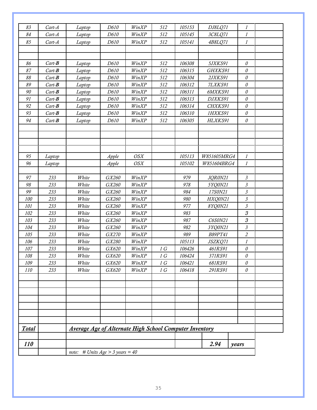|              |            |                                                                | note: # Units $Age > 3 \text{ years} = 40$ |            |     |        |                |                      |
|--------------|------------|----------------------------------------------------------------|--------------------------------------------|------------|-----|--------|----------------|----------------------|
| <i>110</i>   |            |                                                                |                                            |            |     |        | 2.94           | years                |
| <b>Total</b> |            | <b>Average Age of Alternate High School Computer Inventory</b> |                                            |            |     |        |                |                      |
|              |            |                                                                |                                            |            |     |        |                |                      |
|              |            |                                                                |                                            |            |     |        |                |                      |
|              |            |                                                                |                                            |            |     |        |                |                      |
|              |            |                                                                |                                            |            |     |        |                |                      |
|              |            |                                                                |                                            |            |     |        |                |                      |
|              |            |                                                                |                                            |            |     |        |                |                      |
|              |            |                                                                |                                            |            |     |        |                |                      |
| 110          | 233        | White                                                          | GX620                                      | WinXP      | 1 G | 106418 | 291RS91        | $\mathcal O$         |
| 109          | 233        | White                                                          | GX620                                      | WinXP      | 1 G | 106421 | 681RS91        | $\mathcal O$         |
| 108          | 233        | White                                                          | GX620                                      | WinXP      | 1 G | 106424 | 371RS91        | $\theta$             |
| 107          | 233        | White                                                          | <i>GX620</i>                               | WinXP      | 1 G | 106426 | 461RS91        | $\mathcal O$         |
| 106          | 233        | White                                                          | GX280                                      | WinXP      |     | 105113 | JSZKQ71        | $\boldsymbol{l}$     |
| 105          | 233        | White                                                          | GX270                                      | WinXP      |     | 989    | <b>B89PT41</b> | $\sqrt{2}$           |
| 104          | 233        | White                                                          | GX260                                      | WinXP      |     | 982    | 3YQ0N21        | $\boldsymbol{\beta}$ |
| 103          | 233        | White                                                          | GX260                                      | WinXP      |     | 987    | C6S0N21        | $\mathcal S$         |
| 102          | 233        | White                                                          | GX260                                      | WinXP      |     | 983    |                | $\mathcal S$         |
| 101          | 233        | White                                                          | GX260                                      | WinXP      |     | 977    | 8YQ0N21        | $\boldsymbol{\beta}$ |
| 100          | 233        | White                                                          | GX260                                      | WinXP      |     | 980    | HXQ0N21        | $\boldsymbol{\beta}$ |
| 99           | 233        | White                                                          | GX260                                      | WinXP      |     | 984    | 17S0N21        | $\boldsymbol{\beta}$ |
| 98           | 233        | White                                                          | GX260                                      | WinXP      |     | 978    | 5YQ0N21        | $\boldsymbol{\beta}$ |
| 97           | 233        | White                                                          | GX260                                      | WinXP      |     | 979    | JQR0N21        | $\mathfrak{Z}$       |
|              |            |                                                                |                                            |            |     |        |                |                      |
| 96           | Laptop     |                                                                | Apple                                      | OSX        |     | 105102 | W851604BRG4    | $\mathcal{I}$        |
| 95           | Laptop     |                                                                | Apple                                      | <b>OSX</b> |     | 105113 | W851605MRG4    | $\mathcal{I}$        |
|              |            |                                                                |                                            |            |     |        |                |                      |
|              |            |                                                                |                                            |            |     |        |                |                      |
|              |            |                                                                |                                            |            |     |        |                |                      |
|              |            |                                                                |                                            |            |     |        |                |                      |
| 94           | $Cart - B$ | Laptop                                                         | D610                                       | WinXP      | 512 | 106305 | HLXKS91        | $\mathcal O$         |
| 93           | $Cart - B$ | Laptop                                                         | D610                                       | WinXP      | 512 | 106310 | 1HXKS91        | $\mathcal O$         |
| 92           | $Cart - B$ | Laptop                                                         | D610                                       | WinXP      | 512 | 106314 | CHXKS91        | $\mathcal O$         |
| 91           | $Cart - B$ | Laptop                                                         | D610                                       | WinXP      | 512 | 106313 | DJXKS91        | $\mathcal O$         |
| 90           | $Cart - B$ | Laptop                                                         | D610                                       | WinXP      | 512 | 106311 | 6MXKS91        | $\mathcal O$         |
| 89           | $Cart - B$ | Laptop                                                         | D610                                       | WinXP      | 512 | 106312 | 7LXKS91        | $\mathcal O$         |
| 88           | $Cart - B$ | Laptop                                                         | D610                                       | WinXP      | 512 | 106304 | 2JXKS91        | $\mathcal O$         |
| 87           | $Cart - B$ | Laptop                                                         | D610                                       | WinXP      | 512 | 106315 | GHXKS91        | $\mathcal O$         |
| 86           | $Cart - B$ | Laptop                                                         | D610                                       | WinXP      | 512 | 106308 | 5JXKS91        | $\theta$             |
|              |            |                                                                |                                            |            |     |        |                |                      |
|              |            |                                                                |                                            |            |     |        |                |                      |
| 85           | $Cart-A$   | Laptop                                                         | D610                                       | WinXP      | 512 | 105141 | 4B8LQ71        | $\boldsymbol{l}$     |
| 84           | $Cart-A$   | Laptop                                                         | D610                                       | WinXP      | 512 | 105145 | 3C8LQ71        | 1                    |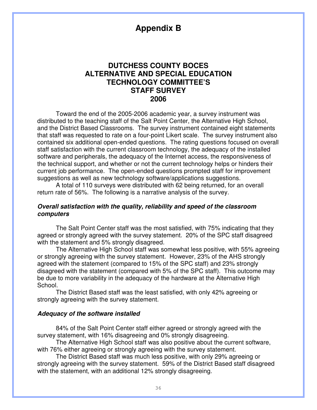# **Appendix B**

# **DUTCHESS COUNTY BOCES ALTERNATIVE AND SPECIAL EDUCATION TECHNOLOGY COMMITTEE'S STAFF SURVEY 2006**

 Toward the end of the 2005-2006 academic year, a survey instrument was distributed to the teaching staff of the Salt Point Center, the Alternative High School, and the District Based Classrooms. The survey instrument contained eight statements that staff was requested to rate on a four-point Likert scale. The survey instrument also contained six additional open-ended questions. The rating questions focused on overall staff satisfaction with the current classroom technology, the adequacy of the installed software and peripherals, the adequacy of the Internet access, the responsiveness of the technical support, and whether or not the current technology helps or hinders their current job performance. The open-ended questions prompted staff for improvement suggestions as well as new technology software/applications suggestions.

 A total of 110 surveys were distributed with 62 being returned, for an overall return rate of 56%. The following is a narrative analysis of the survey.

### **Overall satisfaction with the quality, reliability and speed of the classroom computers**

The Salt Point Center staff was the most satisfied, with 75% indicating that they agreed or strongly agreed with the survey statement. 20% of the SPC staff disagreed with the statement and 5% strongly disagreed.

 The Alternative High School staff was somewhat less positive, with 55% agreeing or strongly agreeing with the survey statement. However, 23% of the AHS strongly agreed with the statement (compared to 15% of the SPC staff) and 23% strongly disagreed with the statement (compared with 5% of the SPC staff). This outcome may be due to more variability in the adequacy of the hardware at the Alternative High School.

 The District Based staff was the least satisfied, with only 42% agreeing or strongly agreeing with the survey statement.

### **Adequacy of the software installed**

84% of the Salt Point Center staff either agreed or strongly agreed with the survey statement, with 16% disagreeing and 0% strongly disagreeing.

The Alternative High School staff was also positive about the current software, with 76% either agreeing or strongly agreeing with the survey statement.

The District Based staff was much less positive, with only 29% agreeing or strongly agreeing with the survey statement. 59% of the District Based staff disagreed with the statement, with an additional 12% strongly disagreeing.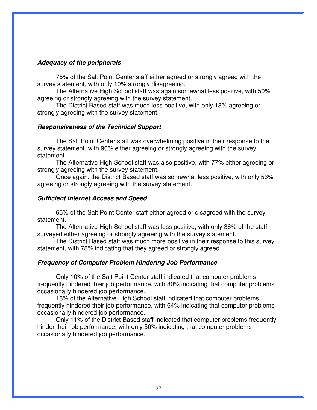### **Adequacy of the peripherals**

 75% of the Salt Point Center staff either agreed or strongly agreed with the survey statement, with only 10% strongly disagreeing.

 The Alternative High School staff was again somewhat less positive, with 50% agreeing or strongly agreeing with the survey statement.

 The District Based staff was much less positive, with only 18% agreeing or strongly agreeing with the survey statement.

### **Responsiveness of the Technical Support**

 The Salt Point Center staff was overwhelming positive in their response to the survey statement, with 90% either agreeing or strongly agreeing with the survey statement.

 The Alternative High School staff was also positive, with 77% either agreeing or strongly agreeing with the survey statement.

 Once again, the District Based staff was somewhat less positive, with only 56% agreeing or strongly agreeing with the survey statement.

### **Sufficient Internet Access and Speed**

 65% of the Salt Point Center staff either agreed or disagreed with the survey statement.

 The Alternative High School staff was less positive, with only 36% of the staff surveyed either agreeing or strongly agreeing with the survey statement.

 The District Based staff was much more positive in their response to this survey statement, with 78% indicating that they agreed or strongly agreed.

### **Frequency of Computer Problem Hindering Job Performance**

 Only 10% of the Salt Point Center staff indicated that computer problems frequently hindered their job performance, with 80% indicating that computer problems occasionally hindered job performance.

 18% of the Alternative High School staff indicated that computer problems frequently hindered their job performance, with 64% indicating that computer problems occasionally hindered job performance.

 Only 11% of the District Based staff indicated that computer problems frequently hinder their job performance, with only 50% indicating that computer problems occasionally hindered job performance.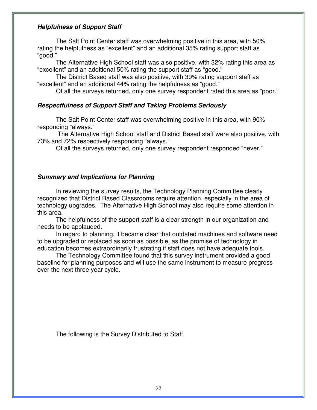### **Helpfulness of Support Staff**

 The Salt Point Center staff was overwhelming positive in this area, with 50% rating the helpfulness as "excellent" and an additional 35% rating support staff as "good."

 The Alternative High School staff was also positive, with 32% rating this area as "excellent" and an additional 50% rating the support staff as "good."

 The District Based staff was also positive, with 39% rating support staff as "excellent" and an additional 44% rating the helpfulness as "good."

Of all the surveys returned, only one survey respondent rated this area as "poor."

### **Respectfulness of Support Staff and Taking Problems Seriously**

 The Salt Point Center staff was overwhelming positive in this area, with 90% responding "always."

 The Alternative High School staff and District Based staff were also positive, with 73% and 72% respectively responding "always."

Of all the surveys returned, only one survey respondent responded "never."

### **Summary and Implications for Planning**

 In reviewing the survey results, the Technology Planning Committee clearly recognized that District Based Classrooms require attention, especially in the area of technology upgrades. The Alternative High School may also require some attention in this area.

 The helpfulness of the support staff is a clear strength in our organization and needs to be applauded.

 In regard to planning, it became clear that outdated machines and software need to be upgraded or replaced as soon as possible, as the promise of technology in education becomes extraordinarily frustrating if staff does not have adequate tools.

 The Technology Committee found that this survey instrument provided a good baseline for planning purposes and will use the same instrument to measure progress over the next three year cycle.

The following is the Survey Distributed to Staff.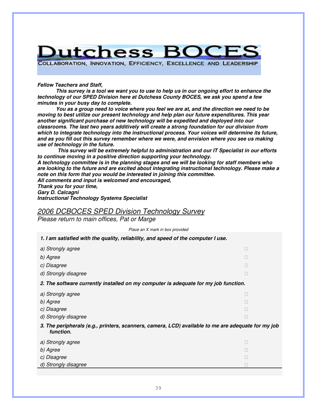

COLLABORATION, INNOVATION, EFFICIENCY, EXCELLENCE AND LEADERSHIP

**Fellow Teachers and Staff,** 

**This survey is a tool we want you to use to help us in our ongoing effort to enhance the technology of our SPED Division here at Dutchess County BOCES, we ask you spend a few minutes in your busy day to complete.** 

**You as a group need to voice where you feel we are at, and the direction we need to be moving to best utilize our present technology and help plan our future expenditures. This year another significant purchase of new technology will be expedited and deployed into our classrooms. The last two years additively will create a strong foundation for our division from which to integrate technology into the instructional process. Your voices will determine its future, and as you fill out this survey remember where we were, and envision where you see us making use of technology in the future.** 

 **This survey will be extremely helpful to administration and our IT Specialist in our efforts to continue moving in a positive direction supporting your technology.** 

**A technology committee is in the planning stages and we will be looking for staff members who are looking to the future and are excited about integrating instructional technology. Please make a note on this form that you would be interested in joining this committee.** 

**All comments and input is welcomed and encouraged, Thank you for your time,** 

**Gary D. Calcagni Instructional Technology Systems Specialist** 

### 2006 DCBOCES SPED Division Technology Survey

Please return to main offices, Pat or Marge

Place an X mark in box provided

**1. I am satisfied with the quality, reliability, and speed of the computer I use.** 

- a) Strongly agree
- b) Agree
- c) Disagree
- d) Strongly disagree

**2. The software currently installed on my computer is adequate for my job function.** 

- a) Strongly agree
- b) Agree
- c) Disagree
- d) Strongly disagree
- **3. The peripherals (e.g., printers, scanners, camera, LCD) available to me are adequate for my job function.**
- a) Strongly agree
- b) Agree
- c) Disagree
- d) Strongly disagree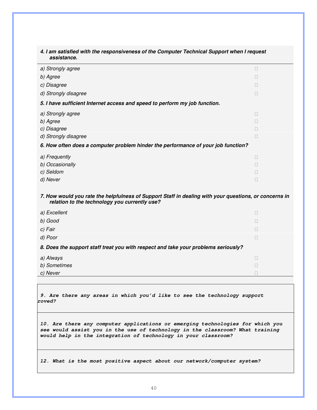#### **4. I am satisfied with the responsiveness of the Computer Technical Support when I request assistance.**

- a) Strongly agree
- b) Agree
- c) Disagree
- d) Strongly disagree

#### **5. I have sufficient Internet access and speed to perform my job function.**

- a) Strongly agree
- b) Agree
- c) Disagree
- d) Strongly disagree

#### **6. How often does a computer problem hinder the performance of your job function?**

- a) Frequently
- b) Occasionally
- c) Seldom
- d) Never and the contract of the contract of the contract of the contract of the contract of the contract of the contract of the contract of the contract of the contract of the contract of the contract of the contract of t

#### **7. How would you rate the helpfulness of Support Staff in dealing with your questions, or concerns in relation to the technology you currently use?**

- a) Excellent
- b) Good
- c) Fair **contract the contract of the contract of the contract of the contract of the contract of the contract of the contract of the contract of the contract of the contract of the contract of the contract of the contract**
- d) Poor

#### **8. Does the support staff treat you with respect and take your problems seriously?**

- a) Always
- b) Sometimes
- c) Never

**9. Are there any areas in which you'd like to see the technology support improved?** 

**10. Are there any computer applications or emerging technologies for which you see would assist you in the use of technology in the classroom? What training would help in the integration of technology in your classroom?** 

**12. What is the most positive aspect about our network/computer system?**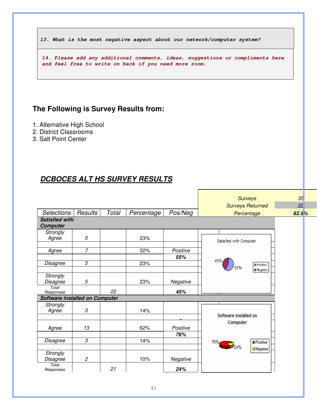**13. What is the most negative aspect about our network/computer system?** 

**14. Please add any additional comments, ideas, suggestions or compliments here and feel free to write on back if you need more room.** 

# **The Following is Survey Results from:**

- 1. Alternative High School
- 2. District Classrooms
- 3. Salt Point Center

# **DCBOCES ALT HS SURVEY RESULTS**

|                                |                |       |            |          | <b>Surveys</b>             | 35    |
|--------------------------------|----------------|-------|------------|----------|----------------------------|-------|
|                                |                |       |            |          | <b>Surveys Returned</b>    | 22    |
| <b>Selections</b>              | Results        | Total | Percentage | Pos/Neg  | Percentage                 | 62.9% |
| <b>Satisfied with</b>          |                |       |            |          |                            |       |
| <b>Computer</b>                |                |       |            |          |                            |       |
| <b>Strongly</b>                |                |       |            |          |                            |       |
| Agree                          | 5              |       | 23%        |          | Satisfied with Computer    |       |
|                                |                |       |            |          |                            |       |
| Agree                          | $\overline{7}$ |       | 32%        | Positive |                            |       |
|                                |                |       |            | 55%      |                            |       |
| <b>Disagree</b>                | 5              |       | 23%        |          | 45%<br><b>D</b> Positive   |       |
|                                |                |       |            |          | 55%<br><b>III Negative</b> |       |
| <b>Strongly</b>                |                |       |            |          |                            |       |
| Disagree                       | 5              |       | 23%        | Negative |                            |       |
| Total                          |                |       |            |          |                            |       |
| Responses                      |                | 22    |            | 45%      |                            |       |
| Software installed on Computer |                |       |            |          |                            |       |
| <b>Strongly</b>                |                |       |            |          |                            |       |
| Agree                          | 3              |       | 14%        |          | Software installed on      |       |
|                                |                |       |            |          |                            |       |
|                                |                |       |            |          | Computer                   |       |
| Agree                          | 13             |       | 62%        | Positive |                            |       |
|                                |                |       |            | 76%      |                            |       |
| Disagree                       | $\mathcal S$   |       | 14%        |          | 76%<br><b>Positive</b>     |       |
|                                |                |       |            |          | <b>□</b> Negative          |       |
| <b>Strongly</b>                |                |       |            |          |                            |       |
| Disagree                       | $\mathfrak{p}$ |       | 10%        | Negative |                            |       |
| Total<br>Responses             |                | 21    |            | 24%      |                            |       |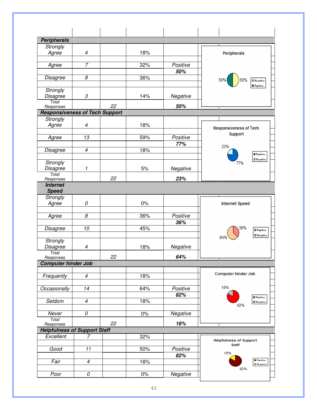| <b>Peripherals</b>                               |                            |    |       |                 |                                               |
|--------------------------------------------------|----------------------------|----|-------|-----------------|-----------------------------------------------|
| Strongly                                         |                            |    |       |                 |                                               |
| Agree                                            | $\overline{\mathcal{A}}$   |    | 18%   |                 | Peripherals                                   |
|                                                  |                            |    |       |                 |                                               |
| Agree                                            | $\overline{7}$             |    | 32%   | Positive<br>50% |                                               |
| Disagree                                         | 8                          |    | 36%   |                 |                                               |
|                                                  |                            |    |       |                 | 50%<br><b>O</b> Negative<br><b>O</b> Paritive |
| <b>Strongly</b>                                  |                            |    |       |                 |                                               |
| <b>Disagree</b>                                  | $\boldsymbol{\mathcal{S}}$ |    | 14%   | Negative        |                                               |
| Total<br>Responses                               |                            | 22 |       | 50%             |                                               |
| <b>Responsiveness of Tech Support</b>            |                            |    |       |                 |                                               |
| Strongly                                         |                            |    |       |                 |                                               |
| Agree                                            | 4                          |    | 18%   |                 | <b>Responsiveness of Tech</b>                 |
|                                                  |                            |    |       |                 | Support                                       |
| Agree                                            | 13                         |    | 59%   | Positive<br>77% |                                               |
| Disagree                                         | $\overline{4}$             |    | 18%   |                 | 23%                                           |
|                                                  |                            |    |       |                 | <b>D</b> Paritive                             |
| Strongly                                         |                            |    |       |                 | <b>O</b> Negative<br>77%                      |
| Disagree                                         | 1                          |    | 5%    | Negative        |                                               |
| Total<br>Responses                               |                            | 22 |       | 23%             |                                               |
| <b>Internet</b>                                  |                            |    |       |                 |                                               |
| <b>Speed</b>                                     |                            |    |       |                 |                                               |
| Strongly                                         |                            |    |       |                 |                                               |
| Agree                                            | 0                          |    | 0%    |                 | <b>Internet Speed</b>                         |
| Agree                                            | $\boldsymbol{\mathcal{S}}$ |    | 36%   | Positive        |                                               |
|                                                  |                            |    |       | 36%             |                                               |
| Disagree                                         | 10                         |    | 45%   |                 | 36%<br><b>D</b> Paritive                      |
|                                                  |                            |    |       |                 | <b>O</b> Negative                             |
| Strongly                                         |                            |    |       |                 |                                               |
| Disagree                                         | $\overline{\mathcal{A}}$   |    | 18%   | Negative        |                                               |
| Total<br>Responses                               |                            | 22 |       | 64%             |                                               |
| <b>Computer hinder Job</b>                       |                            |    |       |                 |                                               |
|                                                  |                            |    |       |                 | Computer hinder Job                           |
| Frequently                                       | $\overline{4}$             |    | 18%   |                 |                                               |
| Occasionally                                     | 14                         |    | 64%   | Positive        | 18%                                           |
|                                                  |                            |    |       | 82%             |                                               |
| Seldom                                           | $\overline{4}$             |    | 18%   |                 | <b>B</b> Paritive<br><b>El</b> Negative       |
|                                                  |                            |    |       |                 | 82%                                           |
| Never                                            | $\overline{\theta}$        |    | $0\%$ | Negative        |                                               |
| Total                                            |                            | 22 |       | 18%             |                                               |
| Responses<br><b>Helpfulness of Support Staff</b> |                            |    |       |                 |                                               |
| Excellent                                        | $\overline{7}$             |    | 32%   |                 |                                               |
|                                                  |                            |    |       |                 | <b>Helpfulness of Support</b><br><b>Staff</b> |
| Good                                             | 11                         |    | 50%   | Positive        |                                               |
|                                                  |                            |    |       | 82%             | 18%<br><b>B</b> Paritive                      |
| Fair                                             | $\overline{\mathcal{A}}$   |    | 18%   |                 | <b>O</b> Negative                             |
|                                                  | 0                          |    |       |                 | 82%                                           |
| Poor                                             |                            |    | $0\%$ | Negative        |                                               |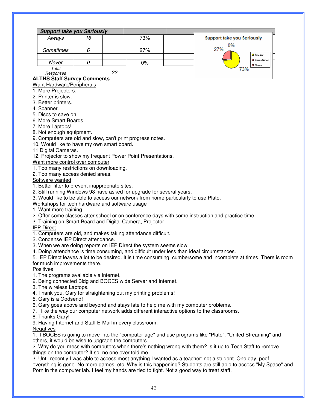|           | <b>Support take you Seriously</b> |       |                            |
|-----------|-----------------------------------|-------|----------------------------|
| Always    | 16                                | 73%   | Support take you Seriously |
|           |                                   |       | 0%                         |
| Sometimes |                                   | 27%   | 27%                        |
|           |                                   |       | <b>Di Alua</b>             |
| Never     |                                   | $0\%$ | <b>D</b> Same              |
| Total     |                                   |       | <b>D</b> Neve<br>'3%       |

Responses 22

### **ALTHS Staff Survey Comments**:

Want Hardware/Peripherals

- 1. More Projectors.
- 2. Printer is slow.
- 3. Better printers.
- 4. Scanner.
- 5. Discs to save on.
- 6. More Smart Boards.
- 7. More Laptops!
- 8. Not enough equipment.

9. Computers are old and slow, can't print progress notes.

10. Would like to have my own smart board.

11 Digital Cameras.

12. Projector to show my frequent Power Point Presentations.

Want more control over computer

- 1. Too many restrictions on downloading.
- 2. Too many access denied areas.

Software wanted

- 1. Better filter to prevent inappropriate sites.
- 2. Still running Windows 98 have asked for upgrade for several years.
- 3. Would like to be able to access our network from home particularly to use Plato.
- Workshops for tech hardware and software usage

1. Want more training.

- 2. Offer some classes after school or on conference days with some instruction and practice time.
- 3. Training on Smart Board and Digital Camera, Projector.

IEP Direct

- 1. Computers are old, and makes taking attendance difficult.
- 2. Condense IEP Direct attendance.
- 3. When we are doing reports on IEP Direct the system seems slow.
- 4. Doing attendance is time consuming, and difficult under less than ideal circumstances.

5. IEP Direct leaves a lot to be desired. It is time consuming, cumbersome and incomplete at times. There is room for much improvements there.

**Positives** 

- 1. The programs available via internet.
- 2. Being connected Bldg and BOCES wide Server and Internet.
- 3. The wireless Laptops.
- 4. Thank you, Gary for straightening out my printing problems!
- 5. Gary is a Godsend!
- 6. Gary goes above and beyond and stays late to help me with my computer problems.
- 7. I like the way our computer network adds different interactive options to the classrooms.
- 8. Thanks Gary!
- 9. Having Internet and Staff E-Mail in every classroom.
- **Negatives**

1. If BOCES is going to move into the "computer age" and use programs like "Plato", "United Streaming" and others, it would be wise to upgrade the computers.

2. Why do you mess with computers when there's nothing wrong with them? Is it up to Tech Staff to remove things on the computer? If so, no one ever told me.

3. Until recently I was able to access most anything I wanted as a teacher; not a student. One day, poof, everything is gone. No more games, etc. Why is this happening? Students are still able to access "My Space" and Porn in the computer lab. I feel my hands are tied to tight. Not a good way to treat staff.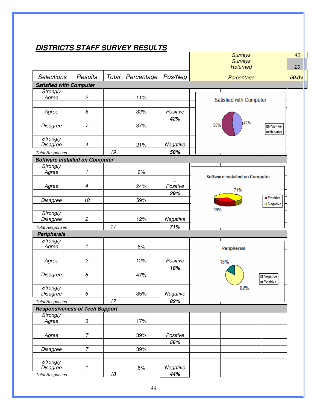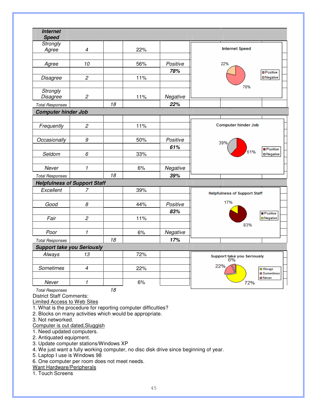| <b>Internet</b><br><b>Speed</b>     |                            |    |     |                 |                                               |  |
|-------------------------------------|----------------------------|----|-----|-----------------|-----------------------------------------------|--|
| Strongly<br>Agree                   | $\overline{\mathcal{A}}$   |    | 22% |                 | <b>Internet Speed</b>                         |  |
| Agree                               | 10                         |    | 56% | Positive        | 22%                                           |  |
| <b>Disagree</b>                     | $\sqrt{2}$                 |    | 11% | 78%             | <b>D</b> Positive<br>□ Negative               |  |
|                                     |                            |    |     |                 | 78%                                           |  |
| Strongly<br><b>Disagree</b>         | $\overline{c}$             |    | 11% | Negative        |                                               |  |
| <b>Total Responses</b>              |                            | 18 |     | 22%             |                                               |  |
| <b>Computer hinder Job</b>          |                            |    |     |                 |                                               |  |
|                                     |                            |    |     |                 |                                               |  |
| Frequently                          | $\overline{c}$             |    | 11% |                 | <b>Computer hinder Job</b>                    |  |
| Occasionally                        | 9                          |    | 50% | Positive        |                                               |  |
|                                     |                            |    |     | 61%             | 39%                                           |  |
| Seldom                              | 6                          |    | 33% |                 | <b>■ Positive</b><br>61%<br><b>□ Negative</b> |  |
|                                     |                            |    |     |                 |                                               |  |
| Never                               | 1                          |    | 6%  | Negative        |                                               |  |
| <b>Total Responses</b>              |                            | 18 |     | 39%             |                                               |  |
| <b>Helpfulness of Support Staff</b> |                            |    |     |                 |                                               |  |
| Excellent                           | 7                          |    | 39% |                 | <b>Helpfulness of Support Staff</b>           |  |
|                                     |                            |    |     |                 | 17%                                           |  |
| Good                                | 8                          |    | 44% | Positive<br>83% |                                               |  |
| Fair                                | $\overline{c}$             |    | 11% |                 | <b>Positive</b><br>□ Negative                 |  |
|                                     |                            |    |     |                 | 83%                                           |  |
| Poor                                | $\mathbf{1}$               |    | 6%  | Negative        |                                               |  |
| <b>Total Responses</b>              |                            | 18 |     | 17%             |                                               |  |
| <b>Support take you Seriously</b>   |                            |    |     |                 |                                               |  |
| Always                              | 13                         |    | 72% |                 | Support take you Seriously<br>6%              |  |
| <b>Sometimes</b>                    | $\overline{\mathcal{A}}$   |    | 22% |                 | 22%<br><b>D</b> Always                        |  |
|                                     |                            |    |     |                 | <b>□</b> Sometimes<br><b>□</b> Never          |  |
| Never<br><b>Total Responses</b>     | $\boldsymbol{\mathcal{I}}$ | 18 | 6%  |                 | 72%                                           |  |

District Staff Comments:

Limited Access to Web Sites

1. What is the procedure for reporting computer difficulties?

2. Blocks on many activities which would be appropriate.

3. Not networked.

Computer is out dated,Sluggish

1. Need updated computers.

2. Antiquated equipment.

3. Update computer stations/Windows XP

4. We just want a fully working computer, no disc disk drive since beginning of year.

5. Laptop I use is Windows 98

6. One computer per room does not meet needs.

Want Hardware/Peripherals

1. Touch Screens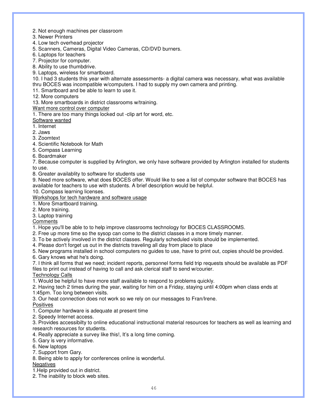- 2. Not enough machines per classroom
- 3. Newer Printers
- 4. Low tech overhead projector
- 5. Scanners, Cameras, Digital Video Cameras, CD/DVD burners.
- 6. Laptops for teachers
- 7. Projector for computer.
- 8. Ability to use thumbdrive.
- 9. Laptops, wireless for smartboard.

10. I had 3 students this year with alternate assessments- a digital camera was necessary, what was available thru BOCES was incompatible w/computers. I had to supply my own camera and printing.

11. Smartboard and be able to learn to use it.

12. More computers

13. More smartboards in district classrooms w/training.

#### Want more control over computer

1. There are too many things locked out -clip art for word, etc.

Software wanted

1. Internet

2. Jaws

3. Zoomtext

4. Scientific Notebook for Math

- 5. Compass Learning
- 6. Boardmaker

7. Because computer is supplied by Arlington, we only have software provided by Arlington installed for students to use.

8. Greater availablity to software for students use

9. Need more software, what does BOCES offer. Would like to see a list of computer software that BOCES has available for teachers to use with students. A brief description would be helpful.

10. Compass learning licenses.

Workshops for tech hardware and software usage

- 1. More Smartboard training.
- 2. More training.

3. Laptop training

**Comments** 

1. Hope you'll be able to to help improve classrooms technology for BOCES CLASSROOMS.

2. Free up more time so the sysop can come to the district classes in a more timely manner.

3. To be actively involved in the district classes. Regularly scheduled visits should be implemented.

4. Please don't forget us out in the districts traveling all day from place to place

5. New programs installed in school computers no guides to use, have to print out, copies should be provided. 6. Gary knows what he's doing.

7. I think all forms that we need; incident reports, personnel forms field trip requests should be available as PDF files to print out instead of having to call and ask clerical staff to send w/courier.

Technology Calls

1. Would be helpful to have more staff available to respond to problems quickly.

2. Having tech 2 times during the year, waiting for him on a Friday, staying until 4:00pm when class ends at 1:45pm. Too long between visits.

3. Our heat connection does not work so we rely on our messages to Fran/Irene.

**Positives** 

1. Computer hardware is adequate at present time

2. Speedy Internet access.

3. Provides accessibilty to online educational instructional material resources for teachers as well as learning and research resources for students.

4. Really appreciate a survey like this!, It's a long time coming.

- 5. Gary is very informative.
- 6. New laptops
- 7. Support from Gary.
- 8. Being able to apply for conferences online is wonderful.

#### Negatives

1.Help provided out in district.

2. The inability to block web sites.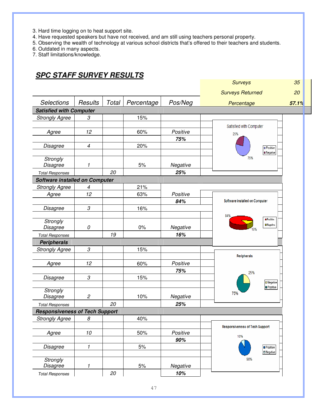- 3. Hard time logging on to heat support site.
- 4. Have requested speakers but have not received, and am still using teachers personal property.
- 5. Observing the wealth of technology at various school districts that's offered to their teachers and students.

6. Outdated in many aspects.

7. Staff limitations/knowledge.

# **SPC STAFF SURVEY RESULTS**

|                                       |                      |       |            |          | <b>Surveys</b>                         |
|---------------------------------------|----------------------|-------|------------|----------|----------------------------------------|
|                                       |                      |       |            |          | <b>Surveys Returned</b>                |
| <b>Selections</b>                     | Results              | Total | Percentage | Pos/Neg  | Percentage                             |
| <b>Satisfied with Computer</b>        |                      |       |            |          |                                        |
| <b>Strongly Agree</b>                 | 3                    |       | 15%        |          |                                        |
|                                       |                      |       |            |          | Satisfied with Computer                |
| Agree                                 | 12                   |       | 60%        | Positive | 25%                                    |
|                                       |                      |       |            | 75%      |                                        |
| Disagree                              | $\overline{4}$       |       | 20%        |          | <b>D</b> Positive                      |
|                                       |                      |       |            |          | <b>III</b> Negative                    |
| Strongly                              |                      |       |            |          | 75%                                    |
| Disagree                              | 1                    |       | 5%         | Negative |                                        |
| <b>Total Responses</b>                |                      | 20    |            | 25%      |                                        |
| <b>Software installed on Computer</b> |                      |       |            |          |                                        |
| <b>Strongly Agree</b>                 | 4                    |       | 21%        |          |                                        |
| Agree                                 | 12                   |       | 63%        | Positive |                                        |
|                                       |                      |       |            | 84%      | Software installed on Computer         |
| Disagree                              | 3                    |       | 16%        |          |                                        |
|                                       |                      |       |            |          | 84%                                    |
| Strongly                              |                      |       |            |          | <b>D</b> Positive<br><b>□ Negative</b> |
| Disagree                              | 0                    |       | 0%         | Negative | 6%                                     |
| <b>Total Responses</b>                |                      | 19    |            | 16%      |                                        |
| <b>Peripherals</b>                    |                      |       |            |          |                                        |
| <b>Strongly Agree</b>                 | 3                    |       | 15%        |          |                                        |
|                                       |                      |       |            |          | Peripherals                            |
| Agree                                 | 12                   |       | 60%        | Positive |                                        |
|                                       |                      |       |            | 75%      | 25%                                    |
| Disagree                              | $\boldsymbol{\beta}$ |       | 15%        |          |                                        |
|                                       |                      |       |            |          | D Negative<br><b>D</b> Positive        |
| Strongly                              |                      |       |            |          | 75%                                    |
| Disagree                              | $\mathfrak{p}$       |       | 10%        | Negative |                                        |
| <b>Total Responses</b>                |                      | 20    |            | 25%      |                                        |
| <b>Responsiveness of Tech Support</b> |                      |       |            |          |                                        |
| <b>Strongly Agree</b>                 | 8                    |       | 40%        |          |                                        |
|                                       |                      |       |            |          | <b>Responsiveness of Tech Support</b>  |
| Agree                                 | $10\,$               |       | 50%        | Positive | 10%                                    |
|                                       |                      |       |            | 90%      |                                        |
| Disagree                              | $\mathbf{1}$         |       | $5%$       |          | Positive                               |
|                                       |                      |       |            |          | D Negative                             |
| Strongly                              |                      |       |            |          | 90%                                    |
| Disagree                              | 1                    |       | $5%$       | Negative |                                        |
| <b>Total Responses</b>                |                      | 20    |            | 10%      |                                        |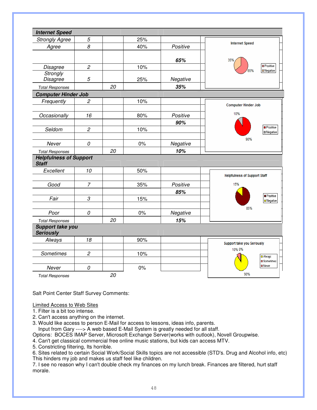| <b>Internet Speed</b>                         |                      |    |       |          |                                        |
|-----------------------------------------------|----------------------|----|-------|----------|----------------------------------------|
| <b>Strongly Agree</b>                         | 5                    |    | 25%   |          |                                        |
| Agree                                         | 8                    |    | 40%   | Positive | <b>Internet Speed</b>                  |
|                                               |                      |    |       | 65%      | 35%                                    |
| Disagree                                      | $\mathfrak{p}$       |    | 10%   |          | <b>D</b> Positive<br>65%               |
| Strongly<br>Disagree                          | 5                    |    | 25%   | Negative | $\blacksquare$ Negative                |
| <b>Total Responses</b>                        |                      | 20 |       | 35%      |                                        |
| <b>Computer Hinder Job</b>                    |                      |    |       |          |                                        |
| Frequently                                    | $\overline{c}$       |    | 10%   |          |                                        |
|                                               |                      |    |       |          | <b>Computer Hinder Job</b>             |
| Occasionally                                  | 16                   |    | 80%   | Positive | 10%                                    |
|                                               |                      |    |       | 90%      |                                        |
| Seldom                                        | $\overline{c}$       |    | 10%   |          | <b>Positive</b><br><b>III</b> Negative |
|                                               |                      |    |       |          | 90%                                    |
| Never                                         | 0                    |    | $0\%$ | Negative |                                        |
| <b>Total Responses</b>                        |                      | 20 |       | 10%      |                                        |
| <b>Helpfulness of Support</b><br><b>Staff</b> |                      |    |       |          |                                        |
| Excellent                                     | 10                   |    | 50%   |          |                                        |
|                                               |                      |    |       |          | <b>Helpfulness of Support Staff</b>    |
| Good                                          | $\overline{7}$       |    | 35%   | Positive | 15%                                    |
|                                               |                      |    |       | 85%      | <b>Positive</b>                        |
| Fair                                          | $\boldsymbol{\beta}$ |    | 15%   |          | <b>□</b> Negative                      |
|                                               |                      |    |       |          | 85%                                    |
| Poor                                          | 0                    |    | $0\%$ | Negative |                                        |
| <b>Total Responses</b>                        |                      | 20 |       | 15%      |                                        |
| Support take you<br><b>Seriously</b>          |                      |    |       |          |                                        |
| Always                                        | 18                   |    | 90%   |          |                                        |
|                                               |                      |    |       |          | Support take you Seriously<br>10% 0%   |
| Sometimes                                     | $\overline{c}$       |    | 10%   |          | <b>D</b> Always                        |
|                                               |                      |    |       |          | Sometimes                              |
| Never                                         | 0                    |    | 0%    |          | <b>D</b> Never                         |
| <b>Total Responses</b>                        |                      | 20 |       |          | 90%                                    |

Salt Point Center Staff Survey Comments:

#### Limited Access to Web Sites

1. Filter is a bit too intense.

- 2. Can't access anything on the internet.
- 3. Would like access to person E-Mail for access to lessons, ideas info, parents.

Input from Gary ----> A web based E-Mail System is greatly needed for all staff.

Options: BOCES IMAP Server, Microsoft Exchange Server(works with outlook), Novell Groupwise.

4. Can't get classical commercial free online music stations, but kids can access MTV.

5. Constricting filtering, Its horrible.

6. Sites related to certain Social Work/Social Skills topics are not accessible (STD's. Drug and Alcohol info, etc) This hinders my job and makes us staff feel like children.

7. I see no reason why I can't double check my finances on my lunch break. Finances are filtered, hurt staff morale.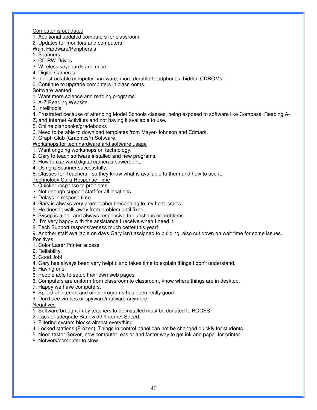Computer is out dated

1. Additional updated computers for classroom.

2. Updates for monitors and computers

Want Hardware/Peripherals

1. Scanners

2. CD RW Drives

- 3. Wireless keyboards and mice.
- 4. Digital Cameras.
- 5. Indestructable computer hardware, more durable headphones, hidden CDROMs.
- 6. Continue to upgrade computers in classrooms.

Software wanted

- 1. Want more science and reading programs
- 2. A-Z Reading Website.

3. Intellitools.

- 4. Frustrated because of attending Model Schools classes, being exposed to software like Compass, Reading A-
- Z, and Internet Activities and not having it available to use.
- 5. Online planbooks/gradebooks
- 6. Need to be able to download templates from Mayer-Johnson and Edmark.
- 7. Graph Club (Graphics?) Software.

Workshops for tech hardware and software usage

1. Want ongoing workshops on technology.

- 2. Gary to teach software installed and new programs.
- 3. How to use word,digital cameras,powerpoint.
- 4. Using a Scanner successfully.
- 5. Classes for Teachers so they know what is available to them and how to use it.

Technology Calls Response Time

1. Quicker response to problems.

- 2. Not enough support staff for all locations.
- 3. Delays in respose time.
- 4. Gary is always very prompt about resonding to my heat issues.
- 5. He doesn't walk away from problem until fixed.
- 6. Sysop is a doll and always responsive to questions or problems.
- 7. I'm very happy with the assistance I receive when I need it.
- 8. Tech Support responsiveness much better this year!

9. Another staff available on days Gary isn't assigned to building, also cut down on wait time for some issues. **Positives** 

1. Color Laser Printer access.

- 2. Reliability.
- 3. Good Job!
- 4. Gary has always been very helpful and takes time to explain things I don't understand.
- 5. Having one.
- 6. People able to setup their own web pages.
- 6. Computers are uniform from classroom to classroom, know where things are in desktop.
- 7. Happy we have computers.
- 8. Speed of internet and other programs has been really good.
- 9. Don't see viruses or spyware/malware anymore.

#### **Negatives**

- 1. Software brought in by teachers to be installed must be donated to BOCES.
- 2. Lack of adequate Bandwidth/Internet Speed.
- 3. Filtering system blocks almost everything.
- 4. Locked stations (Frozen), Things in control panel can not be changed quickly for students.
- 5. Need faster Server, new computer, easier and faster way to get ink and paper for printer.
- 6. Network/computer to slow.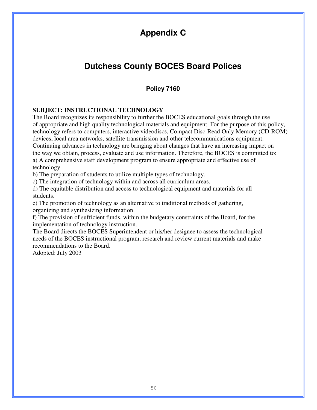# **Appendix C**

# **Dutchess County BOCES Board Polices**

### **Policy 7160**

### **SUBJECT: INSTRUCTIONAL TECHNOLOGY**

The Board recognizes its responsibility to further the BOCES educational goals through the use of appropriate and high quality technological materials and equipment. For the purpose of this policy, technology refers to computers, interactive videodiscs, Compact Disc-Read Only Memory (CD-ROM) devices, local area networks, satellite transmission and other telecommunications equipment. Continuing advances in technology are bringing about changes that have an increasing impact on the way we obtain, process, evaluate and use information. Therefore, the BOCES is committed to: a) A comprehensive staff development program to ensure appropriate and effective use of technology.

b) The preparation of students to utilize multiple types of technology.

c) The integration of technology within and across all curriculum areas.

d) The equitable distribution and access to technological equipment and materials for all students.

e) The promotion of technology as an alternative to traditional methods of gathering, organizing and synthesizing information.

f) The provision of sufficient funds, within the budgetary constraints of the Board, for the implementation of technology instruction.

The Board directs the BOCES Superintendent or his/her designee to assess the technological needs of the BOCES instructional program, research and review current materials and make recommendations to the Board.

Adopted: July 2003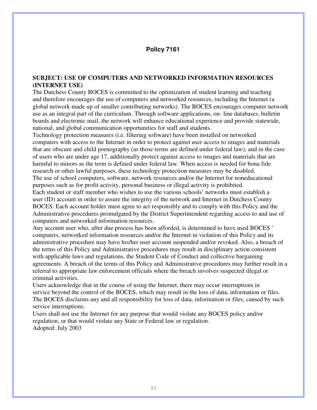### **Policy 7161**

### **SUBJECT: USE OF COMPUTERS AND NETWORKED INFORMATION RESOURCES (INTERNET USE)**

The Dutchess County BOCES is committed to the optimization of student learning and teaching and therefore encourages the use of computers and networked resources, including the Internet (a global network made up of smaller contributing networks). The BOCES encourages computer network use as an integral part of the curriculum. Through software applications, on- line databases, bulletin boards and electronic mail, the network will enhance educational experience and provide statewide, national, and global communication opportunities for staff and students.

Technology protection measures (i.e. filtering software) have been installed on networked computers with access to the Internet in order to protect against user access to images and materials that are obscure and child pornography (as those terms are defined under federal law), and in the case of users who are under age 17, additionally protect against access to images and materials that are harmful to minors as the term is defined under federal law. When access is needed for bona fide research or other lawful purposes, these technology protection measures may be disabled. The use of school computers, software, network resources and/or the Internet for noneducational

purposes such as for profit activity, personal business or illegal activity is prohibited. Each student or staff member who wishes to use the various schools' networks must establish a user (ID) account in order to assure the integrity of the network and Internet in Dutchess County BOCES. Each account holder must agree to act responsibly and to comply with this Policy and the Administrative procedures promulgated by the District Superintendent regarding access to and use of computers and networked information resources.

Any account user who, after due process has been afforded, is determined to have used BOCES ' computers, networked information resources and/or the Internet in violation of this Policy and its administrative procedure may have his/her user account suspended and/or revoked. Also, a breach of the terms of this Policy and Administrative procedures may result in disciplinary action consistent with applicable laws and regulations, the Student Code of Conduct and collective bargaining agreements. A breach of the terms of this Policy and Administrative procedures may further result in a referral to appropriate law enforcement officials where the breach involves suspected illegal or criminal activities.

Users acknowledge that in the course of using the Internet, there may occur interruptions in service beyond the control of the BOCES, which may result in the loss of data, information or files. The BOCES disclaims any and all responsibility for loss of data, information or files, caused by such service interruptions.

Users shall not use the Internet for any purpose that would violate any BOCES policy and/or regulation, or that would violate any State or Federal law or regulation. Adopted: July 2003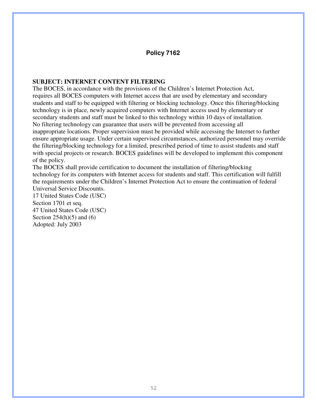### **Policy 7162**

### **SUBJECT: INTERNET CONTENT FILTERING**

The BOCES, in accordance with the provisions of the Children's Internet Protection Act, requires all BOCES computers with Internet access that are used by elementary and secondary students and staff to be equipped with filtering or blocking technology. Once this filtering/blocking technology is in place, newly acquired computers with Internet access used by elementary or secondary students and staff must be linked to this technology within 10 days of installation. No filtering technology can guarantee that users will be prevented from accessing all inappropriate locations. Proper supervision must be provided while accessing the Internet to further ensure appropriate usage. Under certain supervised circumstances, authorized personnel may override the filtering/blocking technology for a limited, prescribed period of time to assist students and staff with special projects or research. BOCES guidelines will be developed to implement this component of the policy.

The BOCES shall provide certification to document the installation of filtering/blocking technology for its computers with Internet access for students and staff. This certification will fulfill the requirements under the Children's Internet Protection Act to ensure the continuation of federal Universal Service Discounts.

17 United States Code (USC) Section 1701 et seq. 47 United States Code (USC) Section  $254(h)(5)$  and  $(6)$ Adopted: July 2003